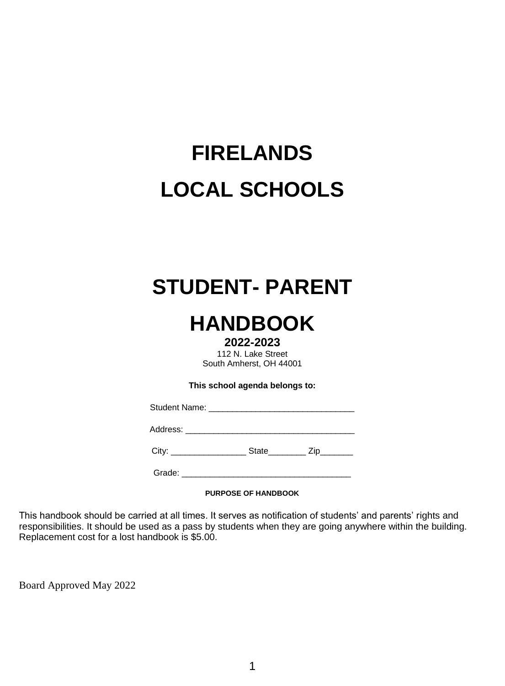# **FIRELANDS LOCAL SCHOOLS**

# **STUDENT- PARENT**

# **HANDBOOK 2022-2023**

112 N. Lake Street

South Amherst, OH 44001

**This school agenda belongs to:**

Student Name: \_\_\_\_\_\_\_\_\_\_\_\_\_\_\_\_\_\_\_\_\_\_\_\_\_\_\_\_\_\_\_

Address:

City: \_\_\_\_\_\_\_\_\_\_\_\_\_\_\_\_ State\_\_\_\_\_\_\_\_ Zip\_\_\_\_\_\_\_

Grade: \_\_\_\_\_\_\_\_\_\_\_\_\_\_\_\_\_\_\_\_\_\_\_\_\_\_\_\_\_\_\_\_\_\_\_\_

#### **PURPOSE OF HANDBOOK**

This handbook should be carried at all times. It serves as notification of students' and parents' rights and responsibilities. It should be used as a pass by students when they are going anywhere within the building. Replacement cost for a lost handbook is \$5.00.

Board Approved May 2022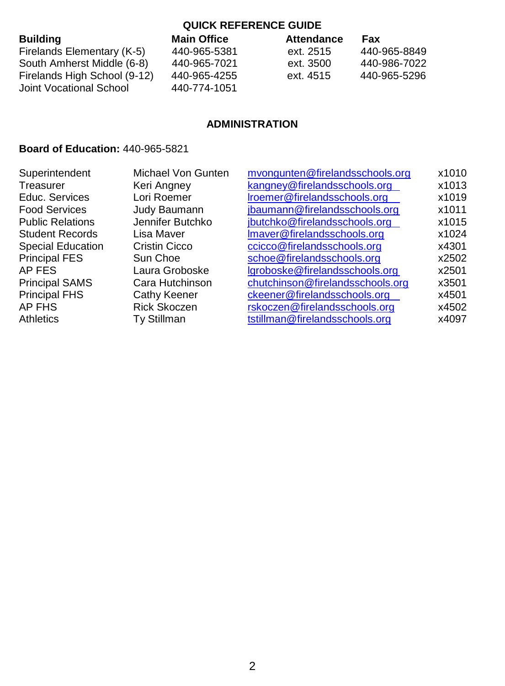# **QUICK REFERENCE GUIDE**

| <b>Building</b>              | <b>Main Office</b> | Attendance | Fax          |
|------------------------------|--------------------|------------|--------------|
| Firelands Elementary (K-5)   | 440-965-5381       | ext. 2515  | 440-965-8849 |
| South Amherst Middle (6-8)   | 440-965-7021       | ext. 3500  | 440-986-7022 |
| Firelands High School (9-12) | 440-965-4255       | ext. 4515  | 440-965-5296 |
| Joint Vocational School      | 440-774-1051       |            |              |

# **ADMINISTRATION**

# **Board of Education:** 440-965-5821

| Superintendent           | Michael Von Gunten  | mvongunten@firelandsschools.org  | x1010 |
|--------------------------|---------------------|----------------------------------|-------|
| Treasurer                | Keri Angney         | kangney@firelandsschools.org     | x1013 |
| Educ. Services           | Lori Roemer         | Iroemer@firelandsschools.org     | x1019 |
| <b>Food Services</b>     | Judy Baumann        | jbaumann@firelandsschools.org    | x1011 |
| <b>Public Relations</b>  | Jennifer Butchko    | jbutchko@firelandsschools.org    | x1015 |
| <b>Student Records</b>   | Lisa Maver          | Imaver@firelandsschools.org      | x1024 |
| <b>Special Education</b> | Cristin Cicco       | ccicco@firelandsschools.org      | x4301 |
| <b>Principal FES</b>     | Sun Choe            | schoe@firelandsschools.org       | x2502 |
| AP FES                   | Laura Groboske      | lgroboske@firelandsschools.org   | x2501 |
| <b>Principal SAMS</b>    | Cara Hutchinson     | chutchinson@firelandsschools.org | x3501 |
| <b>Principal FHS</b>     | Cathy Keener        | ckeener@firelandsschools.org     | x4501 |
| AP FHS                   | <b>Rick Skoczen</b> | rskoczen@firelandsschools.org    | x4502 |
| <b>Athletics</b>         | Ty Stillman         | tstillman@firelandsschools.org   | x4097 |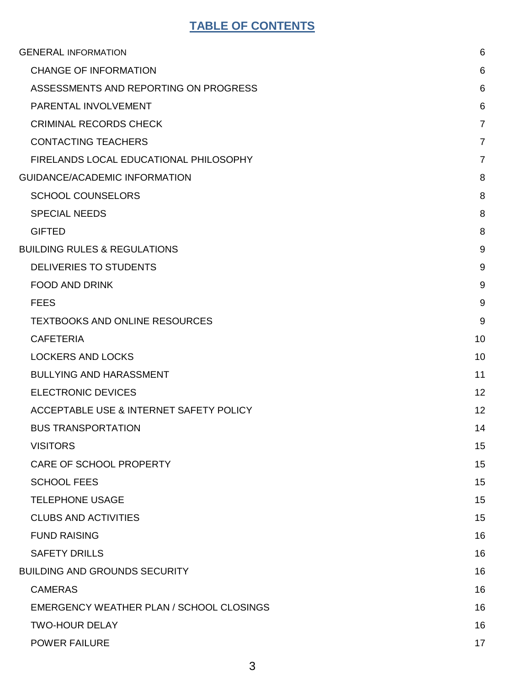# **TABLE OF CONTENTS**

| <b>GENERAL INFORMATION</b>               | 6              |
|------------------------------------------|----------------|
| <b>CHANGE OF INFORMATION</b>             | 6              |
| ASSESSMENTS AND REPORTING ON PROGRESS    | 6              |
| PARENTAL INVOLVEMENT                     | 6              |
| <b>CRIMINAL RECORDS CHECK</b>            | 7              |
| <b>CONTACTING TEACHERS</b>               | $\overline{7}$ |
| FIRELANDS LOCAL EDUCATIONAL PHILOSOPHY   | $\overline{7}$ |
| GUIDANCE/ACADEMIC INFORMATION            | 8              |
| <b>SCHOOL COUNSELORS</b>                 | 8              |
| <b>SPECIAL NEEDS</b>                     | 8              |
| <b>GIFTED</b>                            | 8              |
| <b>BUILDING RULES &amp; REGULATIONS</b>  | 9              |
| DELIVERIES TO STUDENTS                   | 9              |
| FOOD AND DRINK                           | 9              |
| <b>FEES</b>                              | 9              |
| <b>TEXTBOOKS AND ONLINE RESOURCES</b>    | 9              |
| <b>CAFETERIA</b>                         | 10             |
| <b>LOCKERS AND LOCKS</b>                 | 10             |
| <b>BULLYING AND HARASSMENT</b>           | 11             |
| <b>ELECTRONIC DEVICES</b>                | 12             |
| ACCEPTABLE USE & INTERNET SAFETY POLICY  | 12             |
| <b>BUS TRANSPORTATION</b>                | 14             |
| <b>VISITORS</b>                          | 15             |
| CARE OF SCHOOL PROPERTY                  | 15             |
| <b>SCHOOL FEES</b>                       | 15             |
| <b>TELEPHONE USAGE</b>                   | 15             |
| <b>CLUBS AND ACTIVITIES</b>              | 15             |
| <b>FUND RAISING</b>                      | 16             |
| <b>SAFETY DRILLS</b>                     | 16             |
| BUILDING AND GROUNDS SECURITY            | 16             |
| <b>CAMERAS</b>                           | 16             |
| EMERGENCY WEATHER PLAN / SCHOOL CLOSINGS | 16             |
| <b>TWO-HOUR DELAY</b>                    | 16             |
| POWER FAILURE                            | 17             |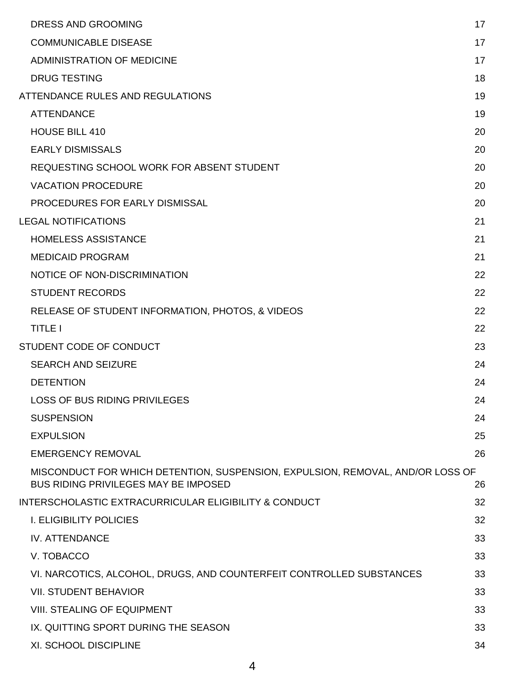| DRESS AND GROOMING                                                                                                            | 17 |
|-------------------------------------------------------------------------------------------------------------------------------|----|
| <b>COMMUNICABLE DISEASE</b>                                                                                                   | 17 |
| ADMINISTRATION OF MEDICINE                                                                                                    | 17 |
| <b>DRUG TESTING</b>                                                                                                           | 18 |
| ATTENDANCE RULES AND REGULATIONS                                                                                              | 19 |
| <b>ATTENDANCE</b>                                                                                                             | 19 |
| <b>HOUSE BILL 410</b>                                                                                                         | 20 |
| <b>EARLY DISMISSALS</b>                                                                                                       | 20 |
| REQUESTING SCHOOL WORK FOR ABSENT STUDENT                                                                                     | 20 |
| <b>VACATION PROCEDURE</b>                                                                                                     | 20 |
| PROCEDURES FOR EARLY DISMISSAL                                                                                                | 20 |
| <b>LEGAL NOTIFICATIONS</b>                                                                                                    | 21 |
| <b>HOMELESS ASSISTANCE</b>                                                                                                    | 21 |
| <b>MEDICAID PROGRAM</b>                                                                                                       | 21 |
| NOTICE OF NON-DISCRIMINATION                                                                                                  | 22 |
| <b>STUDENT RECORDS</b>                                                                                                        | 22 |
| RELEASE OF STUDENT INFORMATION, PHOTOS, & VIDEOS                                                                              | 22 |
| <b>TITLE I</b>                                                                                                                | 22 |
| STUDENT CODE OF CONDUCT                                                                                                       | 23 |
| <b>SEARCH AND SEIZURE</b>                                                                                                     | 24 |
| <b>DETENTION</b>                                                                                                              | 24 |
| LOSS OF BUS RIDING PRIVILEGES                                                                                                 | 24 |
| <b>SUSPENSION</b>                                                                                                             | 24 |
| <b>EXPULSION</b>                                                                                                              | 25 |
| EMERGENCY REMOVAL                                                                                                             | 26 |
| MISCONDUCT FOR WHICH DETENTION, SUSPENSION, EXPULSION, REMOVAL, AND/OR LOSS OF<br><b>BUS RIDING PRIVILEGES MAY BE IMPOSED</b> | 26 |
| INTERSCHOLASTIC EXTRACURRICULAR ELIGIBILITY & CONDUCT                                                                         | 32 |
| <b>I. ELIGIBILITY POLICIES</b>                                                                                                | 32 |
| <b>IV. ATTENDANCE</b>                                                                                                         | 33 |
| V. TOBACCO                                                                                                                    | 33 |
| VI. NARCOTICS, ALCOHOL, DRUGS, AND COUNTERFEIT CONTROLLED SUBSTANCES                                                          | 33 |
| <b>VII. STUDENT BEHAVIOR</b>                                                                                                  | 33 |
| <b>VIII. STEALING OF EQUIPMENT</b>                                                                                            | 33 |
| IX. QUITTING SPORT DURING THE SEASON                                                                                          | 33 |
| XI. SCHOOL DISCIPLINE                                                                                                         | 34 |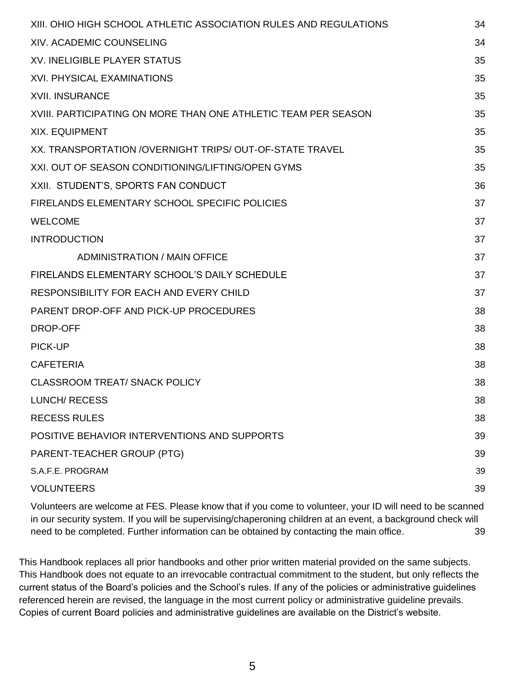| XIII. OHIO HIGH SCHOOL ATHLETIC ASSOCIATION RULES AND REGULATIONS | 34 |
|-------------------------------------------------------------------|----|
| XIV. ACADEMIC COUNSELING                                          | 34 |
| XV. INELIGIBLE PLAYER STATUS                                      | 35 |
| XVI. PHYSICAL EXAMINATIONS                                        | 35 |
| <b>XVII. INSURANCE</b>                                            | 35 |
| XVIII. PARTICIPATING ON MORE THAN ONE ATHLETIC TEAM PER SEASON    | 35 |
| <b>XIX. EQUIPMENT</b>                                             | 35 |
| XX. TRANSPORTATION / OVERNIGHT TRIPS/ OUT-OF-STATE TRAVEL         | 35 |
| XXI. OUT OF SEASON CONDITIONING/LIFTING/OPEN GYMS                 | 35 |
| XXII. STUDENT'S, SPORTS FAN CONDUCT                               | 36 |
| FIRELANDS ELEMENTARY SCHOOL SPECIFIC POLICIES                     | 37 |
| <b>WELCOME</b>                                                    | 37 |
| <b>INTRODUCTION</b>                                               | 37 |
| <b>ADMINISTRATION / MAIN OFFICE</b>                               | 37 |
| FIRELANDS ELEMENTARY SCHOOL'S DAILY SCHEDULE                      | 37 |
| RESPONSIBILITY FOR EACH AND EVERY CHILD                           | 37 |
| PARENT DROP-OFF AND PICK-UP PROCEDURES                            | 38 |
| DROP-OFF                                                          | 38 |
| PICK-UP                                                           | 38 |
| <b>CAFETERIA</b>                                                  | 38 |
| CLASSROOM TREAT/ SNACK POLICY                                     | 38 |
| LUNCH/ RECESS                                                     | 38 |
| <b>RECESS RULES</b>                                               | 38 |
| POSITIVE BEHAVIOR INTERVENTIONS AND SUPPORTS                      | 39 |
| PARENT-TEACHER GROUP (PTG)                                        | 39 |
| S.A.F.E. PROGRAM                                                  | 39 |
| <b>VOLUNTEERS</b>                                                 | 39 |

[Volunteers are welcome at FES. Please know that if you come to volunteer, your ID will need to be scanned](#page-38-4)  [in our security system. If you will be supervising/chaperoning children at an event, a background check will](#page-38-4)  [need to be completed. Further information can be obtained by contacting the main office.](#page-38-4) 39

<span id="page-4-0"></span>This Handbook replaces all prior handbooks and other prior written material provided on the same subjects. This Handbook does not equate to an irrevocable contractual commitment to the student, but only reflects the current status of the Board's policies and the School's rules. If any of the policies or administrative guidelines referenced herein are revised, the language in the most current policy or administrative guideline prevails. Copies of current Board policies and administrative guidelines are available on the District's website.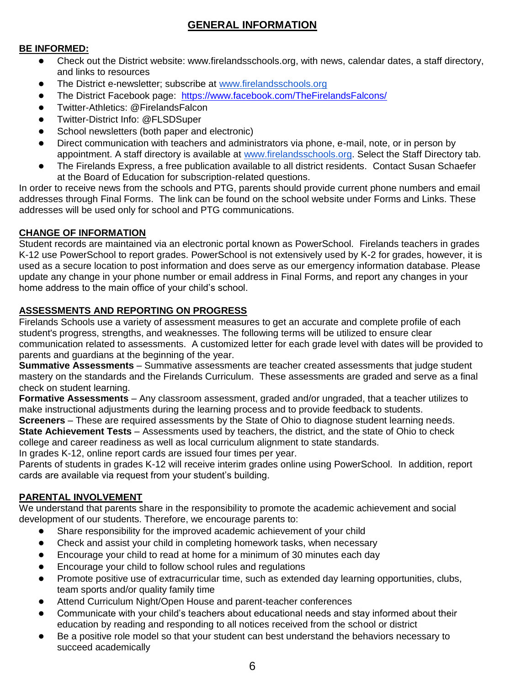# **GENERAL INFORMATION**

## **BE INFORMED:**

- Check out the District website: www.firelandsschools.org, with news, calendar dates, a staff directory, and links to resources
- The District e-newsletter; subscribe at www.firelandsschools.org
- The District Facebook page:<https://www.facebook.com/TheFirelandsFalcons/>
- Twitter-Athletics: @FirelandsFalcon
- Twitter-District Info: @FLSDSuper
- School newsletters (both paper and electronic)
- Direct communication with teachers and administrators via phone, e-mail, note, or in person by appointment. A staff directory is available a[t www.firelandsschools.org.](http://www.firelandsschools.org/) Select the Staff Directory tab.
- The Firelands Express, a free publication available to all district residents. Contact Susan Schaefer at the Board of Education for subscription-related questions.

In order to receive news from the schools and PTG, parents should provide current phone numbers and email addresses through Final Forms. The link can be found on the school website under Forms and Links. These addresses will be used only for school and PTG communications.

## <span id="page-5-0"></span>**CHANGE OF INFORMATION**

Student records are maintained via an electronic portal known as PowerSchool. Firelands teachers in grades K-12 use PowerSchool to report grades. PowerSchool is not extensively used by K-2 for grades, however, it is used as a secure location to post information and does serve as our emergency information database. Please update any change in your phone number or email address in Final Forms, and report any changes in your home address to the main office of your child's school.

## <span id="page-5-1"></span>**ASSESSMENTS AND REPORTING ON PROGRESS**

Firelands Schools use a variety of assessment measures to get an accurate and complete profile of each student's progress, strengths, and weaknesses. The following terms will be utilized to ensure clear communication related to assessments. A customized letter for each grade level with dates will be provided to parents and guardians at the beginning of the year.

**Summative Assessments** – Summative assessments are teacher created assessments that judge student mastery on the standards and the Firelands Curriculum. These assessments are graded and serve as a final check on student learning.

**Formative Assessments** – Any classroom assessment, graded and/or ungraded, that a teacher utilizes to make instructional adjustments during the learning process and to provide feedback to students.

**Screeners** – These are required assessments by the State of Ohio to diagnose student learning needs. **State Achievement Tests** – Assessments used by teachers, the district, and the state of Ohio to check college and career readiness as well as local curriculum alignment to state standards.

In grades K-12, online report cards are issued four times per year.

Parents of students in grades K-12 will receive interim grades online using PowerSchool. In addition, report cards are available via request from your student's building.

## <span id="page-5-2"></span>**PARENTAL INVOLVEMENT**

We understand that parents share in the responsibility to promote the academic achievement and social development of our students. Therefore, we encourage parents to:

- Share responsibility for the improved academic achievement of your child
- Check and assist your child in completing homework tasks, when necessary
- Encourage your child to read at home for a minimum of 30 minutes each day
- Encourage your child to follow school rules and regulations
- Promote positive use of extracurricular time, such as extended day learning opportunities, clubs, team sports and/or quality family time
- Attend Curriculum Night/Open House and parent-teacher conferences
- Communicate with your child's teachers about educational needs and stay informed about their education by reading and responding to all notices received from the school or district
- Be a positive role model so that your student can best understand the behaviors necessary to succeed academically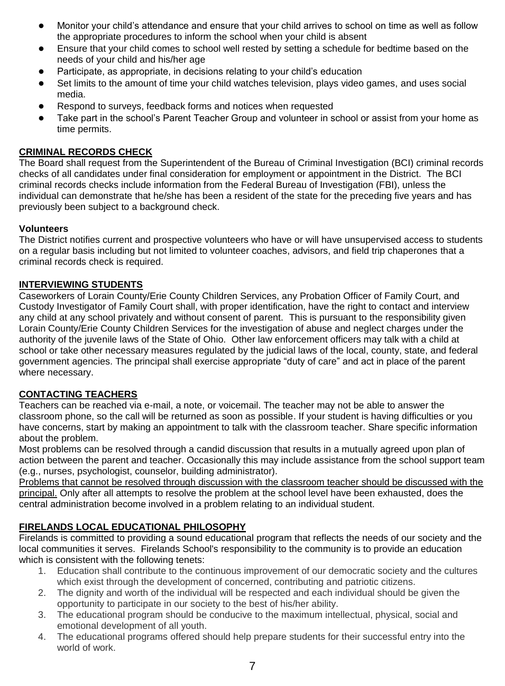- Monitor your child's attendance and ensure that your child arrives to school on time as well as follow the appropriate procedures to inform the school when your child is absent
- Ensure that your child comes to school well rested by setting a schedule for bedtime based on the needs of your child and his/her age
- Participate, as appropriate, in decisions relating to your child's education
- Set limits to the amount of time your child watches television, plays video games, and uses social media.
- Respond to surveys, feedback forms and notices when requested
- Take part in the school's Parent Teacher Group and volunteer in school or assist from your home as time permits.

## <span id="page-6-0"></span>**CRIMINAL RECORDS CHECK**

The Board shall request from the Superintendent of the Bureau of Criminal Investigation (BCI) criminal records checks of all candidates under final consideration for employment or appointment in the District. The BCI criminal records checks include information from the Federal Bureau of Investigation (FBI), unless the individual can demonstrate that he/she has been a resident of the state for the preceding five years and has previously been subject to a background check.

## **Volunteers**

The District notifies current and prospective volunteers who have or will have unsupervised access to students on a regular basis including but not limited to volunteer coaches, advisors, and field trip chaperones that a criminal records check is required.

## **INTERVIEWING STUDENTS**

Caseworkers of Lorain County/Erie County Children Services, any Probation Officer of Family Court, and Custody Investigator of Family Court shall, with proper identification, have the right to contact and interview any child at any school privately and without consent of parent. This is pursuant to the responsibility given Lorain County/Erie County Children Services for the investigation of abuse and neglect charges under the authority of the juvenile laws of the State of Ohio. Other law enforcement officers may talk with a child at school or take other necessary measures regulated by the judicial laws of the local, county, state, and federal government agencies. The principal shall exercise appropriate "duty of care" and act in place of the parent where necessary.

## <span id="page-6-1"></span>**CONTACTING TEACHERS**

Teachers can be reached via e-mail, a note, or voicemail. The teacher may not be able to answer the classroom phone, so the call will be returned as soon as possible. If your student is having difficulties or you have concerns, start by making an appointment to talk with the classroom teacher. Share specific information about the problem.

Most problems can be resolved through a candid discussion that results in a mutually agreed upon plan of action between the parent and teacher. Occasionally this may include assistance from the school support team (e.g., nurses, psychologist, counselor, building administrator).

Problems that cannot be resolved through discussion with the classroom teacher should be discussed with the principal. Only after all attempts to resolve the problem at the school level have been exhausted, does the central administration become involved in a problem relating to an individual student.

## <span id="page-6-2"></span>**FIRELANDS LOCAL EDUCATIONAL PHILOSOPHY**

Firelands is committed to providing a sound educational program that reflects the needs of our society and the local communities it serves. Firelands School's responsibility to the community is to provide an education which is consistent with the following tenets:

- 1. Education shall contribute to the continuous improvement of our democratic society and the cultures which exist through the development of concerned, contributing and patriotic citizens.
- 2. The dignity and worth of the individual will be respected and each individual should be given the opportunity to participate in our society to the best of his/her ability.
- 3. The educational program should be conducive to the maximum intellectual, physical, social and emotional development of all youth.
- 4. The educational programs offered should help prepare students for their successful entry into the world of work.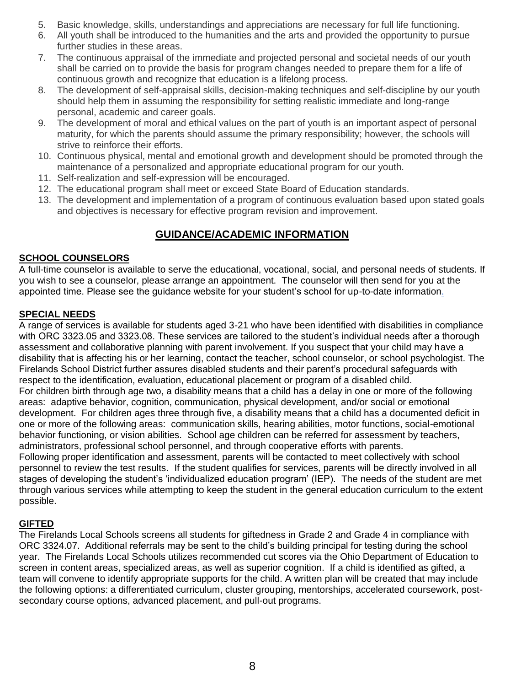- 5. Basic knowledge, skills, understandings and appreciations are necessary for full life functioning.
- 6. All youth shall be introduced to the humanities and the arts and provided the opportunity to pursue further studies in these areas.
- 7. The continuous appraisal of the immediate and projected personal and societal needs of our youth shall be carried on to provide the basis for program changes needed to prepare them for a life of continuous growth and recognize that education is a lifelong process.
- 8. The development of self-appraisal skills, decision-making techniques and self-discipline by our youth should help them in assuming the responsibility for setting realistic immediate and long-range personal, academic and career goals.
- 9. The development of moral and ethical values on the part of youth is an important aspect of personal maturity, for which the parents should assume the primary responsibility; however, the schools will strive to reinforce their efforts.
- 10. Continuous physical, mental and emotional growth and development should be promoted through the maintenance of a personalized and appropriate educational program for our youth.
- 11. Self-realization and self-expression will be encouraged.
- 12. The educational program shall meet or exceed State Board of Education standards.
- 13. The development and implementation of a program of continuous evaluation based upon stated goals and objectives is necessary for effective program revision and improvement.

# **GUIDANCE/ACADEMIC INFORMATION**

## <span id="page-7-1"></span><span id="page-7-0"></span>**SCHOOL COUNSELORS**

A full-time counselor is available to serve the educational, vocational, social, and personal needs of students. If you wish to see a counselor, please arrange an appointment. The counselor will then send for you at the appointed time. Please see the guidance website for your student's school for up-to-date information.

## <span id="page-7-2"></span>**SPECIAL NEEDS**

A range of services is available for students aged 3-21 who have been identified with disabilities in compliance with ORC 3323.05 and 3323.08. These services are tailored to the student's individual needs after a thorough assessment and collaborative planning with parent involvement. If you suspect that your child may have a disability that is affecting his or her learning, contact the teacher, school counselor, or school psychologist. The Firelands School District further assures disabled students and their parent's procedural safeguards with respect to the identification, evaluation, educational placement or program of a disabled child. For children birth through age two, a disability means that a child has a delay in one or more of the following areas: adaptive behavior, cognition, communication, physical development, and/or social or emotional development. For children ages three through five, a disability means that a child has a documented deficit in one or more of the following areas: communication skills, hearing abilities, motor functions, social-emotional behavior functioning, or vision abilities. School age children can be referred for assessment by teachers, administrators, professional school personnel, and through cooperative efforts with parents. Following proper identification and assessment, parents will be contacted to meet collectively with school

personnel to review the test results. If the student qualifies for services, parents will be directly involved in all stages of developing the student's 'individualized education program' (IEP). The needs of the student are met through various services while attempting to keep the student in the general education curriculum to the extent possible.

## <span id="page-7-3"></span>**GIFTED**

The Firelands Local Schools screens all students for giftedness in Grade 2 and Grade 4 in compliance with ORC 3324.07. Additional referrals may be sent to the child's building principal for testing during the school year. The Firelands Local Schools utilizes recommended cut scores via the Ohio Department of Education to screen in content areas, specialized areas, as well as superior cognition. If a child is identified as gifted, a team will convene to identify appropriate supports for the child. A written plan will be created that may include the following options: a differentiated curriculum, cluster grouping, mentorships, accelerated coursework, postsecondary course options, advanced placement, and pull-out programs.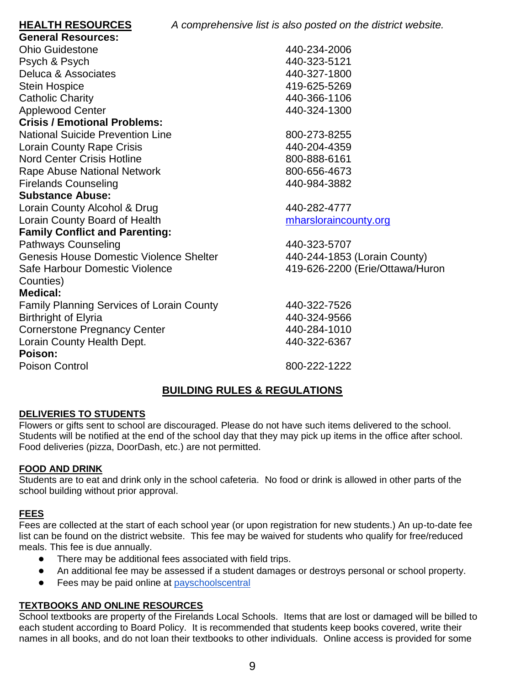**HEALTH RESOURCES** *A comprehensive list is also posted on the district website.* 

| <b>General Resources:</b>                        |                                 |
|--------------------------------------------------|---------------------------------|
| <b>Ohio Guidestone</b>                           | 440-234-2006                    |
| Psych & Psych                                    | 440-323-5121                    |
| Deluca & Associates                              | 440-327-1800                    |
| <b>Stein Hospice</b>                             | 419-625-5269                    |
| Catholic Charity                                 | 440-366-1106                    |
| Applewood Center                                 | 440-324-1300                    |
| <b>Crisis / Emotional Problems:</b>              |                                 |
| National Suicide Prevention Line                 | 800-273-8255                    |
| Lorain County Rape Crisis                        | 440-204-4359                    |
| Nord Center Crisis Hotline                       | 800-888-6161                    |
| Rape Abuse National Network                      | 800-656-4673                    |
| <b>Firelands Counseling</b>                      | 440-984-3882                    |
| <b>Substance Abuse:</b>                          |                                 |
| Lorain County Alcohol & Drug                     | 440-282-4777                    |
| Lorain County Board of Health                    | mharsloraincounty.org           |
| <b>Family Conflict and Parenting:</b>            |                                 |
| Pathways Counseling                              | 440-323-5707                    |
| Genesis House Domestic Violence Shelter          | 440-244-1853 (Lorain County)    |
| Safe Harbour Domestic Violence                   | 419-626-2200 (Erie/Ottawa/Huron |
| Counties)                                        |                                 |
| Medical:                                         |                                 |
| <b>Family Planning Services of Lorain County</b> | 440-322-7526                    |
| Birthright of Elyria                             | 440-324-9566                    |
| <b>Cornerstone Pregnancy Center</b>              | 440-284-1010                    |
| Lorain County Health Dept.                       | 440-322-6367                    |
| Poison:                                          |                                 |
| Poison Control                                   | 800-222-1222                    |

# **BUILDING RULES & REGULATIONS**

## <span id="page-8-1"></span><span id="page-8-0"></span>**DELIVERIES TO STUDENTS**

Flowers or gifts sent to school are discouraged. Please do not have such items delivered to the school. Students will be notified at the end of the school day that they may pick up items in the office after school. Food deliveries (pizza, DoorDash, etc.) are not permitted.

#### <span id="page-8-2"></span>**FOOD AND DRINK**

Students are to eat and drink only in the school cafeteria. No food or drink is allowed in other parts of the school building without prior approval.

## <span id="page-8-3"></span>**FEES**

Fees are collected at the start of each school year (or upon registration for new students.) An up-to-date fee list can be found on the district website. This fee may be waived for students who qualify for free/reduced meals. This fee is due annually.

- There may be additional fees associated with field trips.
- An additional fee may be assessed if a student damages or destroys personal or school property.
- Fees may be paid online a[t payschoolscentral](https://www.payschoolscentral.com/)

#### <span id="page-8-4"></span>**TEXTBOOKS AND ONLINE RESOURCES**

School textbooks are property of the Firelands Local Schools. Items that are lost or damaged will be billed to each student according to Board Policy. It is recommended that students keep books covered, write their names in all books, and do not loan their textbooks to other individuals. Online access is provided for some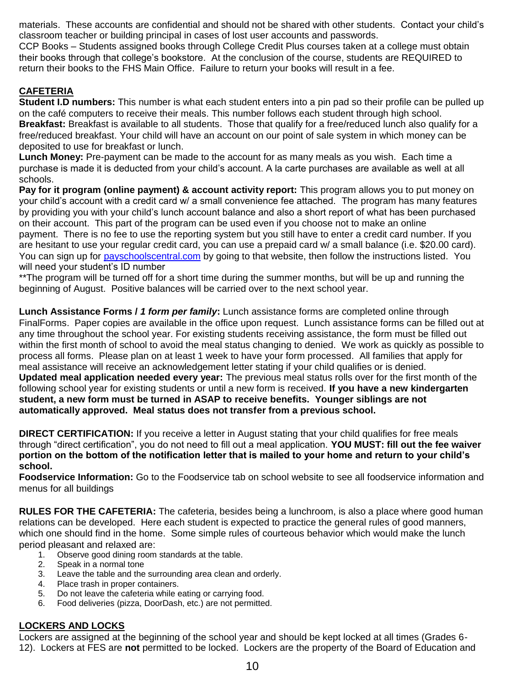materials. These accounts are confidential and should not be shared with other students. Contact your child's classroom teacher or building principal in cases of lost user accounts and passwords.

CCP Books – Students assigned books through College Credit Plus courses taken at a college must obtain their books through that college's bookstore. At the conclusion of the course, students are REQUIRED to return their books to the FHS Main Office. Failure to return your books will result in a fee.

## <span id="page-9-0"></span>**CAFETERIA**

**Student I.D numbers:** This number is what each student enters into a pin pad so their profile can be pulled up on the café computers to receive their meals. This number follows each student through high school. **Breakfast:** Breakfast is available to all students. Those that qualify for a free/reduced lunch also qualify for a free/reduced breakfast. Your child will have an account on our point of sale system in which money can be deposited to use for breakfast or lunch.

**Lunch Money:** Pre-payment can be made to the account for as many meals as you wish. Each time a purchase is made it is deducted from your child's account. A la carte purchases are available as well at all schools.

**Pay for it program (online payment) & account activity report:** This program allows you to put money on your child's account with a credit card w/ a small convenience fee attached. The program has many features by providing you with your child's lunch account balance and also a short report of what has been purchased on their account. This part of the program can be used even if you choose not to make an online payment. There is no fee to use the reporting system but you still have to enter a credit card number. If you are hesitant to use your regular credit card, you can use a prepaid card w/ a small balance (i.e. \$20.00 card). You can sign up for [payschoolscentral.com](https://www.payschoolscentral.com/) by going to that website, then follow the instructions listed. You will need your student's ID number

\*\*The program will be turned off for a short time during the summer months, but will be up and running the beginning of August. Positive balances will be carried over to the next school year.

**Lunch Assistance Forms /** *1 form per family***:** Lunch assistance forms are completed online through FinalForms. Paper copies are available in the office upon request. Lunch assistance forms can be filled out at any time throughout the school year. For existing students receiving assistance, the form must be filled out within the first month of school to avoid the meal status changing to denied. We work as quickly as possible to process all forms. Please plan on at least 1 week to have your form processed. All families that apply for meal assistance will receive an acknowledgement letter stating if your child qualifies or is denied. **Updated meal application needed every year:** The previous meal status rolls over for the first month of the following school year for existing students or until a new form is received. **If you have a new kindergarten student, a new form must be turned in ASAP to receive benefits. Younger siblings are not automatically approved. Meal status does not transfer from a previous school.** 

**DIRECT CERTIFICATION:** If you receive a letter in August stating that your child qualifies for free meals through "direct certification", you do not need to fill out a meal application. **YOU MUST: fill out the fee waiver portion on the bottom of the notification letter that is mailed to your home and return to your child's school.**

**Foodservice Information:** Go to the Foodservice tab on school website to see all foodservice information and menus for all buildings

**RULES FOR THE CAFETERIA:** The cafeteria, besides being a lunchroom, is also a place where good human relations can be developed. Here each student is expected to practice the general rules of good manners, which one should find in the home. Some simple rules of courteous behavior which would make the lunch period pleasant and relaxed are:<br>1. Observe good dining room

- 1. Observe good dining room standards at the table.
- 2. Speak in a normal tone
- 3. Leave the table and the surrounding area clean and orderly.
- 4. Place trash in proper containers.
- 5. Do not leave the cafeteria while eating or carrying food.
- 6. Food deliveries (pizza, DoorDash, etc.) are not permitted.

## <span id="page-9-1"></span>**LOCKERS AND LOCKS**

Lockers are assigned at the beginning of the school year and should be kept locked at all times (Grades 6- 12). Lockers at FES are **not** permitted to be locked. Lockers are the property of the Board of Education and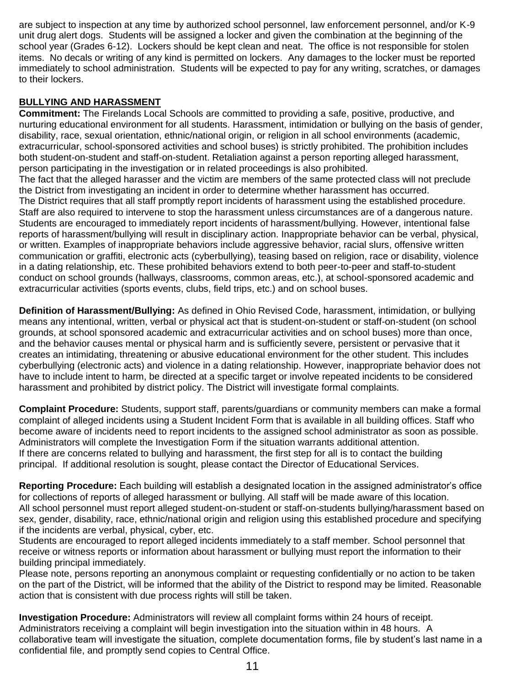are subject to inspection at any time by authorized school personnel, law enforcement personnel, and/or K-9 unit drug alert dogs. Students will be assigned a locker and given the combination at the beginning of the school year (Grades 6-12). Lockers should be kept clean and neat. The office is not responsible for stolen items. No decals or writing of any kind is permitted on lockers. Any damages to the locker must be reported immediately to school administration. Students will be expected to pay for any writing, scratches, or damages to their lockers.

## <span id="page-10-0"></span>**BULLYING AND HARASSMENT**

**Commitment:** The Firelands Local Schools are committed to providing a safe, positive, productive, and nurturing educational environment for all students. Harassment, intimidation or bullying on the basis of gender, disability, race, sexual orientation, ethnic/national origin, or religion in all school environments (academic, extracurricular, school-sponsored activities and school buses) is strictly prohibited. The prohibition includes both student-on-student and staff-on-student. Retaliation against a person reporting alleged harassment, person participating in the investigation or in related proceedings is also prohibited.

The fact that the alleged harasser and the victim are members of the same protected class will not preclude the District from investigating an incident in order to determine whether harassment has occurred. The District requires that all staff promptly report incidents of harassment using the established procedure. Staff are also required to intervene to stop the harassment unless circumstances are of a dangerous nature. Students are encouraged to immediately report incidents of harassment/bullying. However, intentional false reports of harassment/bullying will result in disciplinary action. Inappropriate behavior can be verbal, physical, or written. Examples of inappropriate behaviors include aggressive behavior, racial slurs, offensive written communication or graffiti, electronic acts (cyberbullying), teasing based on religion, race or disability, violence in a dating relationship, etc. These prohibited behaviors extend to both peer-to-peer and staff-to-student conduct on school grounds (hallways, classrooms, common areas, etc.), at school-sponsored academic and extracurricular activities (sports events, clubs, field trips, etc.) and on school buses.

**Definition of Harassment/Bullying:** As defined in Ohio Revised Code, harassment, intimidation, or bullying means any intentional, written, verbal or physical act that is student-on-student or staff-on-student (on school grounds, at school sponsored academic and extracurricular activities and on school buses) more than once, and the behavior causes mental or physical harm and is sufficiently severe, persistent or pervasive that it creates an intimidating, threatening or abusive educational environment for the other student. This includes cyberbullying (electronic acts) and violence in a dating relationship. However, inappropriate behavior does not have to include intent to harm, be directed at a specific target or involve repeated incidents to be considered harassment and prohibited by district policy. The District will investigate formal complaints.

**Complaint Procedure:** Students, support staff, parents/guardians or community members can make a formal complaint of alleged incidents using a Student Incident Form that is available in all building offices. Staff who become aware of incidents need to report incidents to the assigned school administrator as soon as possible. Administrators will complete the Investigation Form if the situation warrants additional attention. If there are concerns related to bullying and harassment, the first step for all is to contact the building principal. If additional resolution is sought, please contact the Director of Educational Services.

**Reporting Procedure:** Each building will establish a designated location in the assigned administrator's office for collections of reports of alleged harassment or bullying. All staff will be made aware of this location. All school personnel must report alleged student-on-student or staff-on-students bullying/harassment based on sex, gender, disability, race, ethnic/national origin and religion using this established procedure and specifying if the incidents are verbal, physical, cyber, etc.

Students are encouraged to report alleged incidents immediately to a staff member. School personnel that receive or witness reports or information about harassment or bullying must report the information to their building principal immediately.

Please note, persons reporting an anonymous complaint or requesting confidentially or no action to be taken on the part of the District, will be informed that the ability of the District to respond may be limited. Reasonable action that is consistent with due process rights will still be taken.

**Investigation Procedure:** Administrators will review all complaint forms within 24 hours of receipt. Administrators receiving a complaint will begin investigation into the situation within in 48 hours. A collaborative team will investigate the situation, complete documentation forms, file by student's last name in a confidential file, and promptly send copies to Central Office.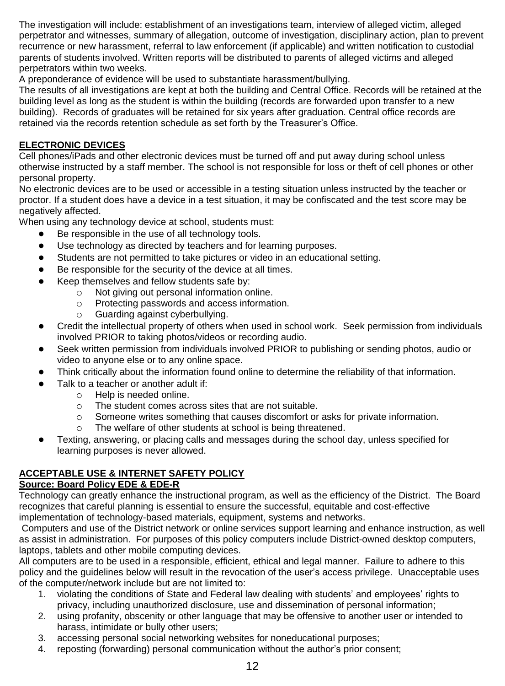The investigation will include: establishment of an investigations team, interview of alleged victim, alleged perpetrator and witnesses, summary of allegation, outcome of investigation, disciplinary action, plan to prevent recurrence or new harassment, referral to law enforcement (if applicable) and written notification to custodial parents of students involved. Written reports will be distributed to parents of alleged victims and alleged perpetrators within two weeks.

A preponderance of evidence will be used to substantiate harassment/bullying.

The results of all investigations are kept at both the building and Central Office. Records will be retained at the building level as long as the student is within the building (records are forwarded upon transfer to a new building). Records of graduates will be retained for six years after graduation. Central office records are retained via the records retention schedule as set forth by the Treasurer's Office.

## <span id="page-11-0"></span>**ELECTRONIC DEVICES**

Cell phones/iPads and other electronic devices must be turned off and put away during school unless otherwise instructed by a staff member. The school is not responsible for loss or theft of cell phones or other personal property.

No electronic devices are to be used or accessible in a testing situation unless instructed by the teacher or proctor. If a student does have a device in a test situation, it may be confiscated and the test score may be negatively affected.

When using any technology device at school, students must:

- Be responsible in the use of all technology tools.
- Use technology as directed by teachers and for learning purposes.
- Students are not permitted to take pictures or video in an educational setting.
- Be responsible for the security of the device at all times.
- Keep themselves and fellow students safe by:
	- $\circ$  Not giving out personal information online.
	- o Protecting passwords and access information.
	- o Guarding against cyberbullying.
- Credit the intellectual property of others when used in school work. Seek permission from individuals involved PRIOR to taking photos/videos or recording audio.
- Seek written permission from individuals involved PRIOR to publishing or sending photos, audio or video to anyone else or to any online space.
- Think critically about the information found online to determine the reliability of that information.
	- Talk to a teacher or another adult if:
		- o Help is needed online.
		- o The student comes across sites that are not suitable.
		- o Someone writes something that causes discomfort or asks for private information.
		- o The welfare of other students at school is being threatened.
- Texting, answering, or placing calls and messages during the school day, unless specified for learning purposes is never allowed.

# <span id="page-11-1"></span>**ACCEPTABLE USE & INTERNET SAFETY POLICY**

## **Source: Board Policy EDE & EDE-R**

Technology can greatly enhance the instructional program, as well as the efficiency of the District. The Board recognizes that careful planning is essential to ensure the successful, equitable and cost-effective implementation of technology-based materials, equipment, systems and networks.

Computers and use of the District network or online services support learning and enhance instruction, as well as assist in administration. For purposes of this policy computers include District-owned desktop computers, laptops, tablets and other mobile computing devices.

All computers are to be used in a responsible, efficient, ethical and legal manner. Failure to adhere to this policy and the guidelines below will result in the revocation of the user's access privilege. Unacceptable uses of the computer/network include but are not limited to:

- 1. violating the conditions of State and Federal law dealing with students' and employees' rights to privacy, including unauthorized disclosure, use and dissemination of personal information;
- 2. using profanity, obscenity or other language that may be offensive to another user or intended to harass, intimidate or bully other users;
- 3. accessing personal social networking websites for noneducational purposes;
- 4. reposting (forwarding) personal communication without the author's prior consent;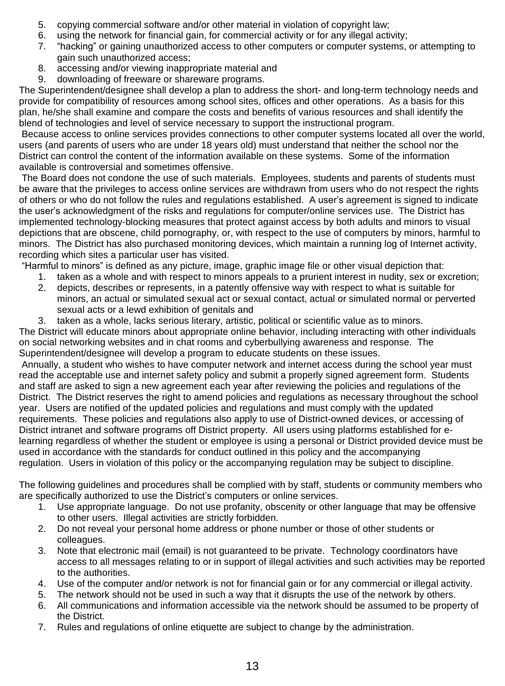- 5. copying commercial software and/or other material in violation of copyright law;
- 6. using the network for financial gain, for commercial activity or for any illegal activity;
- 7. "hacking" or gaining unauthorized access to other computers or computer systems, or attempting to gain such unauthorized access;
- 8. accessing and/or viewing inappropriate material and
- 9. downloading of freeware or shareware programs.

The Superintendent/designee shall develop a plan to address the short- and long-term technology needs and provide for compatibility of resources among school sites, offices and other operations. As a basis for this plan, he/she shall examine and compare the costs and benefits of various resources and shall identify the blend of technologies and level of service necessary to support the instructional program.

Because access to online services provides connections to other computer systems located all over the world, users (and parents of users who are under 18 years old) must understand that neither the school nor the District can control the content of the information available on these systems. Some of the information available is controversial and sometimes offensive.

The Board does not condone the use of such materials. Employees, students and parents of students must be aware that the privileges to access online services are withdrawn from users who do not respect the rights of others or who do not follow the rules and regulations established. A user's agreement is signed to indicate the user's acknowledgment of the risks and regulations for computer/online services use. The District has implemented technology-blocking measures that protect against access by both adults and minors to visual depictions that are obscene, child pornography, or, with respect to the use of computers by minors, harmful to minors. The District has also purchased monitoring devices, which maintain a running log of Internet activity, recording which sites a particular user has visited.

"Harmful to minors" is defined as any picture, image, graphic image file or other visual depiction that:

- 1. taken as a whole and with respect to minors appeals to a prurient interest in nudity, sex or excretion; 2. depicts, describes or represents, in a patently offensive way with respect to what is suitable for
- minors, an actual or simulated sexual act or sexual contact, actual or simulated normal or perverted sexual acts or a lewd exhibition of genitals and
- 3. taken as a whole, lacks serious literary, artistic, political or scientific value as to minors.

The District will educate minors about appropriate online behavior, including interacting with other individuals on social networking websites and in chat rooms and cyberbullying awareness and response. The Superintendent/designee will develop a program to educate students on these issues.

Annually, a student who wishes to have computer network and internet access during the school year must read the acceptable use and internet safety policy and submit a properly signed agreement form. Students and staff are asked to sign a new agreement each year after reviewing the policies and regulations of the District. The District reserves the right to amend policies and regulations as necessary throughout the school year. Users are notified of the updated policies and regulations and must comply with the updated requirements. These policies and regulations also apply to use of District-owned devices, or accessing of District intranet and software programs off District property. All users using platforms established for elearning regardless of whether the student or employee is using a personal or District provided device must be used in accordance with the standards for conduct outlined in this policy and the accompanying regulation. Users in violation of this policy or the accompanying regulation may be subject to discipline.

The following guidelines and procedures shall be complied with by staff, students or community members who are specifically authorized to use the District's computers or online services.

- 1. Use appropriate language. Do not use profanity, obscenity or other language that may be offensive to other users. Illegal activities are strictly forbidden.
- 2. Do not reveal your personal home address or phone number or those of other students or colleagues.
- 3. Note that electronic mail (email) is not guaranteed to be private. Technology coordinators have access to all messages relating to or in support of illegal activities and such activities may be reported to the authorities.
- 4. Use of the computer and/or network is not for financial gain or for any commercial or illegal activity.
- 5. The network should not be used in such a way that it disrupts the use of the network by others.
- 6. All communications and information accessible via the network should be assumed to be property of the District.
- 7. Rules and regulations of online etiquette are subject to change by the administration.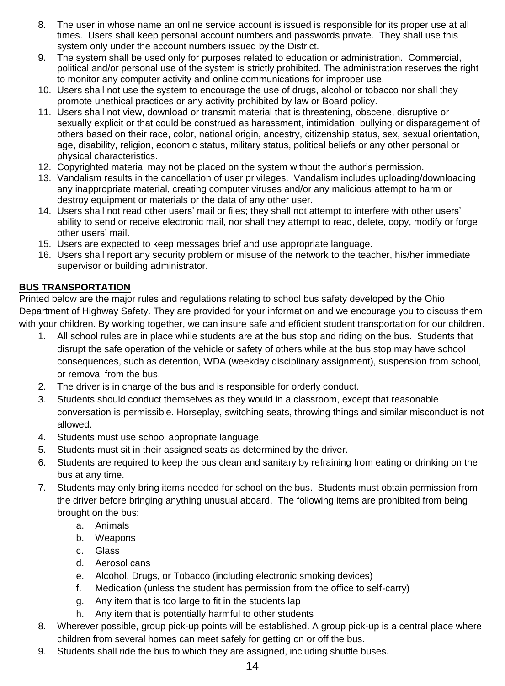- 8. The user in whose name an online service account is issued is responsible for its proper use at all times. Users shall keep personal account numbers and passwords private. They shall use this system only under the account numbers issued by the District.
- 9. The system shall be used only for purposes related to education or administration. Commercial, political and/or personal use of the system is strictly prohibited. The administration reserves the right to monitor any computer activity and online communications for improper use.
- 10. Users shall not use the system to encourage the use of drugs, alcohol or tobacco nor shall they promote unethical practices or any activity prohibited by law or Board policy.
- 11. Users shall not view, download or transmit material that is threatening, obscene, disruptive or sexually explicit or that could be construed as harassment, intimidation, bullying or disparagement of others based on their race, color, national origin, ancestry, citizenship status, sex, sexual orientation, age, disability, religion, economic status, military status, political beliefs or any other personal or physical characteristics.
- 12. Copyrighted material may not be placed on the system without the author's permission.
- 13. Vandalism results in the cancellation of user privileges. Vandalism includes uploading/downloading any inappropriate material, creating computer viruses and/or any malicious attempt to harm or destroy equipment or materials or the data of any other user.
- 14. Users shall not read other users' mail or files; they shall not attempt to interfere with other users' ability to send or receive electronic mail, nor shall they attempt to read, delete, copy, modify or forge other users' mail.
- 15. Users are expected to keep messages brief and use appropriate language.
- 16. Users shall report any security problem or misuse of the network to the teacher, his/her immediate supervisor or building administrator.

## <span id="page-13-0"></span>**BUS TRANSPORTATION**

Printed below are the major rules and regulations relating to school bus safety developed by the Ohio Department of Highway Safety. They are provided for your information and we encourage you to discuss them with your children. By working together, we can insure safe and efficient student transportation for our children.

- 1. All school rules are in place while students are at the bus stop and riding on the bus. Students that disrupt the safe operation of the vehicle or safety of others while at the bus stop may have school consequences, such as detention, WDA (weekday disciplinary assignment), suspension from school, or removal from the bus.
- 2. The driver is in charge of the bus and is responsible for orderly conduct.
- 3. Students should conduct themselves as they would in a classroom, except that reasonable conversation is permissible. Horseplay, switching seats, throwing things and similar misconduct is not allowed.
- 4. Students must use school appropriate language.
- 5. Students must sit in their assigned seats as determined by the driver.
- 6. Students are required to keep the bus clean and sanitary by refraining from eating or drinking on the bus at any time.
- 7. Students may only bring items needed for school on the bus. Students must obtain permission from the driver before bringing anything unusual aboard. The following items are prohibited from being brought on the bus:
	- a. Animals
	- b. Weapons
	- c. Glass
	- d. Aerosol cans
	- e. Alcohol, Drugs, or Tobacco (including electronic smoking devices)
	- f. Medication (unless the student has permission from the office to self-carry)
	- g. Any item that is too large to fit in the students lap
	- h. Any item that is potentially harmful to other students
- 8. Wherever possible, group pick-up points will be established. A group pick-up is a central place where children from several homes can meet safely for getting on or off the bus.
- 9. Students shall ride the bus to which they are assigned, including shuttle buses.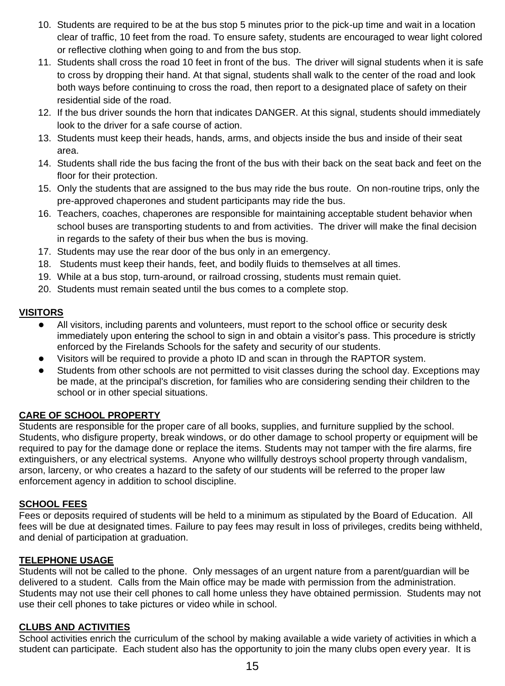- 10. Students are required to be at the bus stop 5 minutes prior to the pick-up time and wait in a location clear of traffic, 10 feet from the road. To ensure safety, students are encouraged to wear light colored or reflective clothing when going to and from the bus stop.
- 11. Students shall cross the road 10 feet in front of the bus. The driver will signal students when it is safe to cross by dropping their hand. At that signal, students shall walk to the center of the road and look both ways before continuing to cross the road, then report to a designated place of safety on their residential side of the road.
- 12. If the bus driver sounds the horn that indicates DANGER. At this signal, students should immediately look to the driver for a safe course of action.
- 13. Students must keep their heads, hands, arms, and objects inside the bus and inside of their seat area.
- 14. Students shall ride the bus facing the front of the bus with their back on the seat back and feet on the floor for their protection.
- 15. Only the students that are assigned to the bus may ride the bus route. On non-routine trips, only the pre-approved chaperones and student participants may ride the bus.
- 16. Teachers, coaches, chaperones are responsible for maintaining acceptable student behavior when school buses are transporting students to and from activities. The driver will make the final decision in regards to the safety of their bus when the bus is moving.
- 17. Students may use the rear door of the bus only in an emergency.
- 18. Students must keep their hands, feet, and bodily fluids to themselves at all times.
- 19. While at a bus stop, turn-around, or railroad crossing, students must remain quiet.
- 20. Students must remain seated until the bus comes to a complete stop.

#### <span id="page-14-0"></span>**VISITORS**

- All visitors, including parents and volunteers, must report to the school office or security desk immediately upon entering the school to sign in and obtain a visitor's pass. This procedure is strictly enforced by the Firelands Schools for the safety and security of our students.
- Visitors will be required to provide a photo ID and scan in through the RAPTOR system.
- Students from other schools are not permitted to visit classes during the school day. Exceptions may be made, at the principal's discretion, for families who are considering sending their children to the school or in other special situations.

#### <span id="page-14-1"></span>**CARE OF SCHOOL PROPERTY**

Students are responsible for the proper care of all books, supplies, and furniture supplied by the school. Students, who disfigure property, break windows, or do other damage to school property or equipment will be required to pay for the damage done or replace the items. Students may not tamper with the fire alarms, fire extinguishers, or any electrical systems. Anyone who willfully destroys school property through vandalism, arson, larceny, or who creates a hazard to the safety of our students will be referred to the proper law enforcement agency in addition to school discipline.

## <span id="page-14-2"></span>**SCHOOL FEES**

Fees or deposits required of students will be held to a minimum as stipulated by the Board of Education. All fees will be due at designated times. Failure to pay fees may result in loss of privileges, credits being withheld, and denial of participation at graduation.

## <span id="page-14-3"></span>**TELEPHONE USAGE**

Students will not be called to the phone. Only messages of an urgent nature from a parent/guardian will be delivered to a student. Calls from the Main office may be made with permission from the administration. Students may not use their cell phones to call home unless they have obtained permission. Students may not use their cell phones to take pictures or video while in school.

#### <span id="page-14-4"></span>**CLUBS AND ACTIVITIES**

School activities enrich the curriculum of the school by making available a wide variety of activities in which a student can participate. Each student also has the opportunity to join the many clubs open every year. It is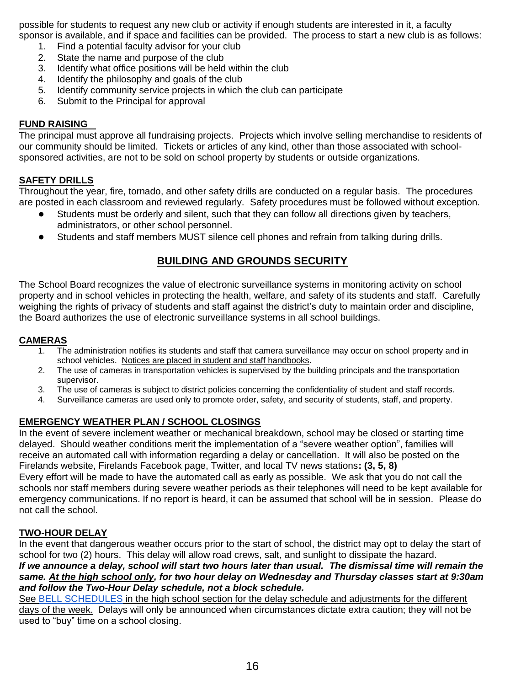possible for students to request any new club or activity if enough students are interested in it, a faculty sponsor is available, and if space and facilities can be provided. The process to start a new club is as follows:

- 1. Find a potential faculty advisor for your club
- 2. State the name and purpose of the club
- 3. Identify what office positions will be held within the club
- 4. Identify the philosophy and goals of the club
- 5. Identify community service projects in which the club can participate
- 6. Submit to the Principal for approval

#### <span id="page-15-0"></span>**FUND RAISING**

The principal must approve all fundraising projects. Projects which involve selling merchandise to residents of our community should be limited. Tickets or articles of any kind, other than those associated with schoolsponsored activities, are not to be sold on school property by students or outside organizations.

#### <span id="page-15-1"></span>**SAFETY DRILLS**

Throughout the year, fire, tornado, and other safety drills are conducted on a regular basis. The procedures are posted in each classroom and reviewed regularly. Safety procedures must be followed without exception.

- Students must be orderly and silent, such that they can follow all directions given by teachers, administrators, or other school personnel.
- Students and staff members MUST silence cell phones and refrain from talking during drills.

## **BUILDING AND GROUNDS SECURITY**

<span id="page-15-2"></span>The School Board recognizes the value of electronic surveillance systems in monitoring activity on school property and in school vehicles in protecting the health, welfare, and safety of its students and staff. Carefully weighing the rights of privacy of students and staff against the district's duty to maintain order and discipline, the Board authorizes the use of electronic surveillance systems in all school buildings.

#### <span id="page-15-3"></span>**CAMERAS**

- 1. The administration notifies its students and staff that camera surveillance may occur on school property and in school vehicles. Notices are placed in student and staff handbooks.
- 2. The use of cameras in transportation vehicles is supervised by the building principals and the transportation supervisor.
- 3. The use of cameras is subject to district policies concerning the confidentiality of student and staff records.
- 4. Surveillance cameras are used only to promote order, safety, and security of students, staff, and property.

#### <span id="page-15-4"></span>**EMERGENCY WEATHER PLAN / SCHOOL CLOSINGS**

In the event of severe inclement weather or mechanical breakdown, school may be closed or starting time delayed. Should weather conditions merit the implementation of a "severe weather option", families will receive an automated call with information regarding a delay or cancellation. It will also be posted on the Firelands website, Firelands Facebook page, Twitter, and local TV news stations**: (3, 5, 8)** Every effort will be made to have the automated call as early as possible. We ask that you do not call the

schools nor staff members during severe weather periods as their telephones will need to be kept available for emergency communications. If no report is heard, it can be assumed that school will be in session. Please do not call the school.

#### <span id="page-15-5"></span>**TWO-HOUR DELAY**

In the event that dangerous weather occurs prior to the start of school, the district may opt to delay the start of school for two (2) hours. This delay will allow road crews, salt, and sunlight to dissipate the hazard.

*If we announce a delay, school will start two hours later than usual. The dismissal time will remain the same. At the high school only, for two hour delay on Wednesday and Thursday classes start at 9:30am and follow the Two-Hour Delay schedule, not a block schedule.*

Se[e BELL SCHEDULES](https://docs.google.com/document/d/19Juiuw99UA4zPeaGgusMkWsk0g4bQzGp_hB9_Z8Rj6Y/edit#heading=h.3x691l4exu5n) in the high school section for the delay schedule and adjustments for the different days of the week. Delays will only be announced when circumstances dictate extra caution; they will not be used to "buy" time on a school closing.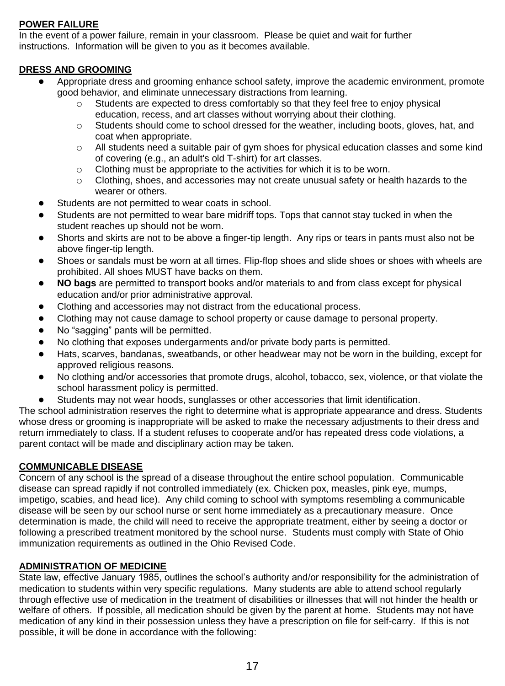## <span id="page-16-0"></span>**POWER FAILURE**

In the event of a power failure, remain in your classroom. Please be quiet and wait for further instructions. Information will be given to you as it becomes available.

## <span id="page-16-1"></span>**DRESS AND GROOMING**

- Appropriate dress and grooming enhance school safety, improve the academic environment, promote good behavior, and eliminate unnecessary distractions from learning.
	- $\circ$  Students are expected to dress comfortably so that they feel free to enjoy physical education, recess, and art classes without worrying about their clothing.
	- o Students should come to school dressed for the weather, including boots, gloves, hat, and coat when appropriate.
	- $\circ$  All students need a suitable pair of gym shoes for physical education classes and some kind of covering (e.g., an adult's old T-shirt) for art classes.
	- o Clothing must be appropriate to the activities for which it is to be worn.
	- o Clothing, shoes, and accessories may not create unusual safety or health hazards to the wearer or others.
- Students are not permitted to wear coats in school.
- Students are not permitted to wear bare midriff tops. Tops that cannot stay tucked in when the student reaches up should not be worn.
- Shorts and skirts are not to be above a finger-tip length. Any rips or tears in pants must also not be above finger-tip length.
- Shoes or sandals must be worn at all times. Flip-flop shoes and slide shoes or shoes with wheels are prohibited. All shoes MUST have backs on them.
- **NO bags** are permitted to transport books and/or materials to and from class except for physical education and/or prior administrative approval.
- Clothing and accessories may not distract from the educational process.
- Clothing may not cause damage to school property or cause damage to personal property.
- No "sagging" pants will be permitted.
- No clothing that exposes undergarments and/or private body parts is permitted.
- Hats, scarves, bandanas, sweatbands, or other headwear may not be worn in the building, except for approved religious reasons.
- No clothing and/or accessories that promote drugs, alcohol, tobacco, sex, violence, or that violate the school harassment policy is permitted.
- Students may not wear hoods, sunglasses or other accessories that limit identification.

The school administration reserves the right to determine what is appropriate appearance and dress. Students whose dress or grooming is inappropriate will be asked to make the necessary adjustments to their dress and return immediately to class. If a student refuses to cooperate and/or has repeated dress code violations, a parent contact will be made and disciplinary action may be taken.

## <span id="page-16-2"></span>**COMMUNICABLE DISEASE**

Concern of any school is the spread of a disease throughout the entire school population. Communicable disease can spread rapidly if not controlled immediately (ex. Chicken pox, measles, pink eye, mumps, impetigo, scabies, and head lice). Any child coming to school with symptoms resembling a communicable disease will be seen by our school nurse or sent home immediately as a precautionary measure. Once determination is made, the child will need to receive the appropriate treatment, either by seeing a doctor or following a prescribed treatment monitored by the school nurse. Students must comply with State of Ohio immunization requirements as outlined in the Ohio Revised Code.

## <span id="page-16-3"></span>**ADMINISTRATION OF MEDICINE**

State law, effective January 1985, outlines the school's authority and/or responsibility for the administration of medication to students within very specific regulations. Many students are able to attend school regularly through effective use of medication in the treatment of disabilities or illnesses that will not hinder the health or welfare of others. If possible, all medication should be given by the parent at home. Students may not have medication of any kind in their possession unless they have a prescription on file for self-carry. If this is not possible, it will be done in accordance with the following: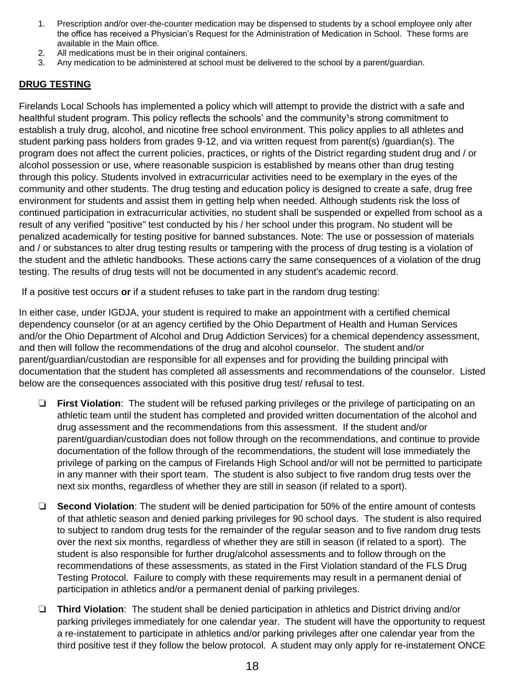- 1. Prescription and/or over-the-counter medication may be dispensed to students by a school employee only after the office has received a Physician's Request for the Administration of Medication in School. These forms are available in the Main office.
- 2. All medications must be in their original containers.
- 3. Any medication to be administered at school must be delivered to the school by a parent/guardian.

## <span id="page-17-0"></span>**DRUG TESTING**

Firelands Local Schools has implemented a policy which will attempt to provide the district with a safe and healthful student program. This policy reflects the schools' and the community<sup>1</sup>s strong commitment to establish a truly drug, alcohol, and nicotine free school environment. This policy applies to all athletes and student parking pass holders from grades 9-12, and via written request from parent(s) /guardian(s). The program does not affect the current policies, practices, or rights of the District regarding student drug and / or alcohol possession or use, where reasonable suspicion is established by means other than drug testing through this policy. Students involved in extracurricular activities need to be exemplary in the eyes of the community and other students. The drug testing and education policy is designed to create a safe, drug free environment for students and assist them in getting help when needed. Although students risk the loss of continued participation in extracurricular activities, no student shall be suspended or expelled from school as a result of any verified "positive" test conducted by his / her school under this program. No student will be penalized academically for testing positive for banned substances. Note: The use or possession of materials and / or substances to alter drug testing results or tampering with the process of drug testing is a violation of the student and the athletic handbooks. These actions carry the same consequences of a violation of the drug testing. The results of drug tests will not be documented in any student's academic record.

If a positive test occurs **or** if a student refuses to take part in the random drug testing:

In either case, under IGDJA, your student is required to make an appointment with a certified chemical dependency counselor (or at an agency certified by the Ohio Department of Health and Human Services and/or the Ohio Department of Alcohol and Drug Addiction Services) for a chemical dependency assessment, and then will follow the recommendations of the drug and alcohol counselor. The student and/or parent/guardian/custodian are responsible for all expenses and for providing the building principal with documentation that the student has completed all assessments and recommendations of the counselor. Listed below are the consequences associated with this positive drug test/ refusal to test.

- ❏ **First Violation**: The student will be refused parking privileges or the privilege of participating on an athletic team until the student has completed and provided written documentation of the alcohol and drug assessment and the recommendations from this assessment. If the student and/or parent/guardian/custodian does not follow through on the recommendations, and continue to provide documentation of the follow through of the recommendations, the student will lose immediately the privilege of parking on the campus of Firelands High School and/or will not be permitted to participate in any manner with their sport team. The student is also subject to five random drug tests over the next six months, regardless of whether they are still in season (if related to a sport).
- ❏ **Second Violation**: The student will be denied participation for 50% of the entire amount of contests of that athletic season and denied parking privileges for 90 school days. The student is also required to subject to random drug tests for the remainder of the regular season and to five random drug tests over the next six months, regardless of whether they are still in season (if related to a sport). The student is also responsible for further drug/alcohol assessments and to follow through on the recommendations of these assessments, as stated in the First Violation standard of the FLS Drug Testing Protocol. Failure to comply with these requirements may result in a permanent denial of participation in athletics and/or a permanent denial of parking privileges.
- ❏ **Third Violation**: The student shall be denied participation in athletics and District driving and/or parking privileges immediately for one calendar year. The student will have the opportunity to request a re-instatement to participate in athletics and/or parking privileges after one calendar year from the third positive test if they follow the below protocol. A student may only apply for re-instatement ONCE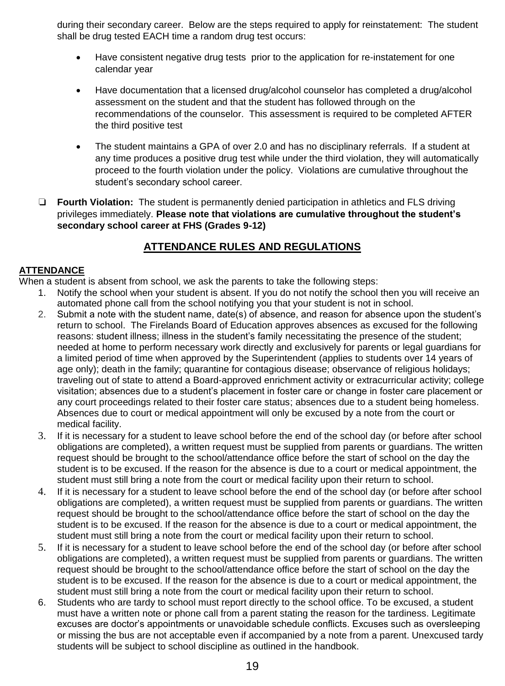during their secondary career. Below are the steps required to apply for reinstatement: The student shall be drug tested EACH time a random drug test occurs:

- Have consistent negative drug tests prior to the application for re-instatement for one calendar year
- Have documentation that a licensed drug/alcohol counselor has completed a drug/alcohol assessment on the student and that the student has followed through on the recommendations of the counselor. This assessment is required to be completed AFTER the third positive test
- The student maintains a GPA of over 2.0 and has no disciplinary referrals. If a student at any time produces a positive drug test while under the third violation, they will automatically proceed to the fourth violation under the policy. Violations are cumulative throughout the student's secondary school career.
- ❏ **Fourth Violation:** The student is permanently denied participation in athletics and FLS driving privileges immediately. **Please note that violations are cumulative throughout the student's secondary school career at FHS (Grades 9-12)**

# **ATTENDANCE RULES AND REGULATIONS**

## <span id="page-18-1"></span><span id="page-18-0"></span>**ATTENDANCE**

When a student is absent from school, we ask the parents to take the following steps:

- 1. Notify the school when your student is absent. If you do not notify the school then you will receive an automated phone call from the school notifying you that your student is not in school.
- 2. Submit a note with the student name, date(s) of absence, and reason for absence upon the student's return to school. The Firelands Board of Education approves absences as excused for the following reasons: student illness; illness in the student's family necessitating the presence of the student; needed at home to perform necessary work directly and exclusively for parents or legal guardians for a limited period of time when approved by the Superintendent (applies to students over 14 years of age only); death in the family; quarantine for contagious disease; observance of religious holidays; traveling out of state to attend a Board-approved enrichment activity or extracurricular activity; college visitation; absences due to a student's placement in foster care or change in foster care placement or any court proceedings related to their foster care status; absences due to a student being homeless. Absences due to court or medical appointment will only be excused by a note from the court or medical facility.
- 3. If it is necessary for a student to leave school before the end of the school day (or before after school obligations are completed), a written request must be supplied from parents or guardians. The written request should be brought to the school/attendance office before the start of school on the day the student is to be excused. If the reason for the absence is due to a court or medical appointment, the student must still bring a note from the court or medical facility upon their return to school.
- 4. If it is necessary for a student to leave school before the end of the school day (or before after school obligations are completed), a written request must be supplied from parents or guardians. The written request should be brought to the school/attendance office before the start of school on the day the student is to be excused. If the reason for the absence is due to a court or medical appointment, the student must still bring a note from the court or medical facility upon their return to school.
- 5. If it is necessary for a student to leave school before the end of the school day (or before after school obligations are completed), a written request must be supplied from parents or guardians. The written request should be brought to the school/attendance office before the start of school on the day the student is to be excused. If the reason for the absence is due to a court or medical appointment, the student must still bring a note from the court or medical facility upon their return to school.
- 6. Students who are tardy to school must report directly to the school office. To be excused, a student must have a written note or phone call from a parent stating the reason for the tardiness. Legitimate excuses are doctor's appointments or unavoidable schedule conflicts. Excuses such as oversleeping or missing the bus are not acceptable even if accompanied by a note from a parent. Unexcused tardy students will be subject to school discipline as outlined in the handbook.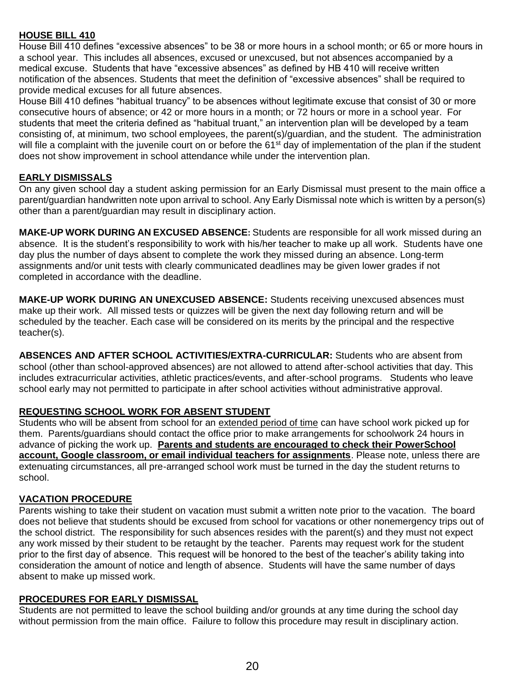### <span id="page-19-0"></span>**HOUSE BILL 410**

House Bill 410 defines "excessive absences" to be 38 or more hours in a school month; or 65 or more hours in a school year. This includes all absences, excused or unexcused, but not absences accompanied by a medical excuse. Students that have "excessive absences" as defined by HB 410 will receive written notification of the absences. Students that meet the definition of "excessive absences" shall be required to provide medical excuses for all future absences.

House Bill 410 defines "habitual truancy" to be absences without legitimate excuse that consist of 30 or more consecutive hours of absence; or 42 or more hours in a month; or 72 hours or more in a school year. For students that meet the criteria defined as "habitual truant," an intervention plan will be developed by a team consisting of, at minimum, two school employees, the parent(s)/guardian, and the student. The administration will file a complaint with the juvenile court on or before the  $61<sup>st</sup>$  day of implementation of the plan if the student does not show improvement in school attendance while under the intervention plan.

## <span id="page-19-1"></span>**EARLY DISMISSALS**

On any given school day a student asking permission for an Early Dismissal must present to the main office a parent/guardian handwritten note upon arrival to school. Any Early Dismissal note which is written by a person(s) other than a parent/guardian may result in disciplinary action.

**MAKE-UP WORK DURING AN EXCUSED ABSENCE:** Students are responsible for all work missed during an absence. It is the student's responsibility to work with his/her teacher to make up all work. Students have one day plus the number of days absent to complete the work they missed during an absence. Long-term assignments and/or unit tests with clearly communicated deadlines may be given lower grades if not completed in accordance with the deadline.

**MAKE-UP WORK DURING AN UNEXCUSED ABSENCE:** Students receiving unexcused absences must make up their work. All missed tests or quizzes will be given the next day following return and will be scheduled by the teacher. Each case will be considered on its merits by the principal and the respective teacher(s).

**ABSENCES AND AFTER SCHOOL ACTIVITIES/EXTRA-CURRICULAR:** Students who are absent from school (other than school-approved absences) are not allowed to attend after-school activities that day. This includes extracurricular activities, athletic practices/events, and after-school programs. Students who leave school early may not permitted to participate in after school activities without administrative approval.

## <span id="page-19-2"></span>**REQUESTING SCHOOL WORK FOR ABSENT STUDENT**

Students who will be absent from school for an extended period of time can have school work picked up for them. Parents/guardians should contact the office prior to make arrangements for schoolwork 24 hours in advance of picking the work up. **Parents and students are encouraged to check their PowerSchool account, Google classroom, or email individual teachers for assignments**. Please note, unless there are extenuating circumstances, all pre-arranged school work must be turned in the day the student returns to school.

#### <span id="page-19-3"></span>**VACATION PROCEDURE**

Parents wishing to take their student on vacation must submit a written note prior to the vacation. The board does not believe that students should be excused from school for vacations or other nonemergency trips out of the school district. The responsibility for such absences resides with the parent(s) and they must not expect any work missed by their student to be retaught by the teacher. Parents may request work for the student prior to the first day of absence. This request will be honored to the best of the teacher's ability taking into consideration the amount of notice and length of absence. Students will have the same number of days absent to make up missed work.

#### <span id="page-19-4"></span>**PROCEDURES FOR EARLY DISMISSAL**

Students are not permitted to leave the school building and/or grounds at any time during the school day without permission from the main office. Failure to follow this procedure may result in disciplinary action.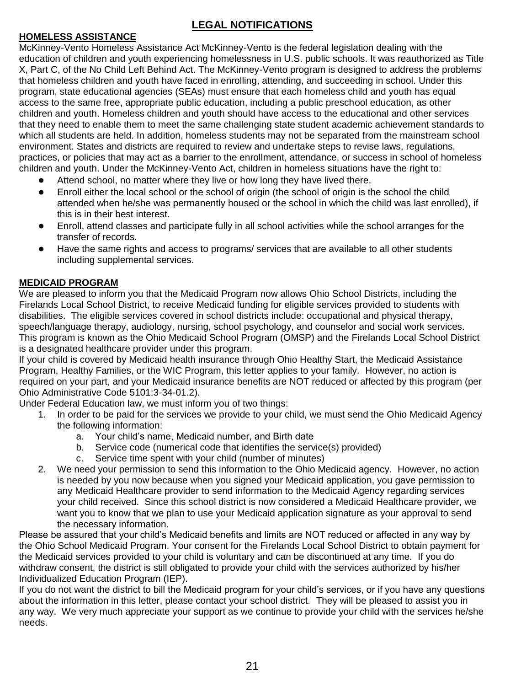# **LEGAL NOTIFICATIONS**

## <span id="page-20-1"></span><span id="page-20-0"></span>**HOMELESS ASSISTANCE**

McKinney-Vento Homeless Assistance Act McKinney-Vento is the federal legislation dealing with the education of children and youth experiencing homelessness in U.S. public schools. It was reauthorized as Title X, Part C, of the No Child Left Behind Act. The McKinney-Vento program is designed to address the problems that homeless children and youth have faced in enrolling, attending, and succeeding in school. Under this program, state educational agencies (SEAs) must ensure that each homeless child and youth has equal access to the same free, appropriate public education, including a public preschool education, as other children and youth. Homeless children and youth should have access to the educational and other services that they need to enable them to meet the same challenging state student academic achievement standards to which all students are held. In addition, homeless students may not be separated from the mainstream school environment. States and districts are required to review and undertake steps to revise laws, regulations, practices, or policies that may act as a barrier to the enrollment, attendance, or success in school of homeless children and youth. Under the McKinney-Vento Act, children in homeless situations have the right to:

- Attend school, no matter where they live or how long they have lived there.
- Enroll either the local school or the school of origin (the school of origin is the school the child attended when he/she was permanently housed or the school in which the child was last enrolled), if this is in their best interest.
- Enroll, attend classes and participate fully in all school activities while the school arranges for the transfer of records.
- Have the same rights and access to programs/ services that are available to all other students including supplemental services.

## <span id="page-20-2"></span>**MEDICAID PROGRAM**

We are pleased to inform you that the Medicaid Program now allows Ohio School Districts, including the Firelands Local School District, to receive Medicaid funding for eligible services provided to students with disabilities. The eligible services covered in school districts include: occupational and physical therapy, speech/language therapy, audiology, nursing, school psychology, and counselor and social work services. This program is known as the Ohio Medicaid School Program (OMSP) and the Firelands Local School District is a designated healthcare provider under this program.

If your child is covered by Medicaid health insurance through Ohio Healthy Start, the Medicaid Assistance Program, Healthy Families, or the WIC Program, this letter applies to your family. However, no action is required on your part, and your Medicaid insurance benefits are NOT reduced or affected by this program (per Ohio Administrative Code 5101:3-34-01.2).

Under Federal Education law, we must inform you of two things:

- 1. In order to be paid for the services we provide to your child, we must send the Ohio Medicaid Agency the following information:
	- a. Your child's name, Medicaid number, and Birth date
	- b. Service code (numerical code that identifies the service(s) provided)
	- c. Service time spent with your child (number of minutes)
- 2. We need your permission to send this information to the Ohio Medicaid agency. However, no action is needed by you now because when you signed your Medicaid application, you gave permission to any Medicaid Healthcare provider to send information to the Medicaid Agency regarding services your child received. Since this school district is now considered a Medicaid Healthcare provider, we want you to know that we plan to use your Medicaid application signature as your approval to send the necessary information.

Please be assured that your child's Medicaid benefits and limits are NOT reduced or affected in any way by the Ohio School Medicaid Program. Your consent for the Firelands Local School District to obtain payment for the Medicaid services provided to your child is voluntary and can be discontinued at any time. If you do withdraw consent, the district is still obligated to provide your child with the services authorized by his/her Individualized Education Program (IEP).

If you do not want the district to bill the Medicaid program for your child's services, or if you have any questions about the information in this letter, please contact your school district. They will be pleased to assist you in any way. We very much appreciate your support as we continue to provide your child with the services he/she needs.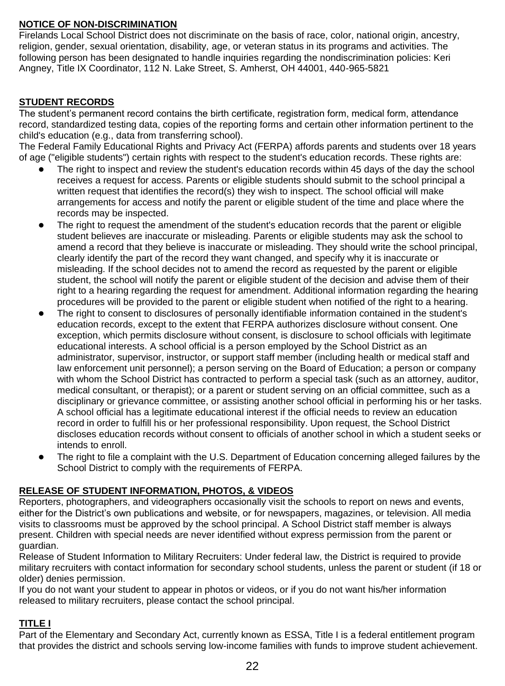## <span id="page-21-0"></span>**NOTICE OF NON-DISCRIMINATION**

Firelands Local School District does not discriminate on the basis of race, color, national origin, ancestry, religion, gender, sexual orientation, disability, age, or veteran status in its programs and activities. The following person has been designated to handle inquiries regarding the nondiscrimination policies: Keri Angney, Title IX Coordinator, 112 N. Lake Street, S. Amherst, OH 44001, 440-965-5821

## <span id="page-21-1"></span>**STUDENT RECORDS**

The student's permanent record contains the birth certificate, registration form, medical form, attendance record, standardized testing data, copies of the reporting forms and certain other information pertinent to the child's education (e.g., data from transferring school).

The Federal Family Educational Rights and Privacy Act (FERPA) affords parents and students over 18 years of age ("eligible students") certain rights with respect to the student's education records. These rights are:

- The right to inspect and review the student's education records within 45 days of the day the school receives a request for access. Parents or eligible students should submit to the school principal a written request that identifies the record(s) they wish to inspect. The school official will make arrangements for access and notify the parent or eligible student of the time and place where the records may be inspected.
- The right to request the amendment of the student's education records that the parent or eligible student believes are inaccurate or misleading. Parents or eligible students may ask the school to amend a record that they believe is inaccurate or misleading. They should write the school principal, clearly identify the part of the record they want changed, and specify why it is inaccurate or misleading. If the school decides not to amend the record as requested by the parent or eligible student, the school will notify the parent or eligible student of the decision and advise them of their right to a hearing regarding the request for amendment. Additional information regarding the hearing procedures will be provided to the parent or eligible student when notified of the right to a hearing.
- The right to consent to disclosures of personally identifiable information contained in the student's education records, except to the extent that FERPA authorizes disclosure without consent. One exception, which permits disclosure without consent, is disclosure to school officials with legitimate educational interests. A school official is a person employed by the School District as an administrator, supervisor, instructor, or support staff member (including health or medical staff and law enforcement unit personnel); a person serving on the Board of Education; a person or company with whom the School District has contracted to perform a special task (such as an attorney, auditor, medical consultant, or therapist); or a parent or student serving on an official committee, such as a disciplinary or grievance committee, or assisting another school official in performing his or her tasks. A school official has a legitimate educational interest if the official needs to review an education record in order to fulfill his or her professional responsibility. Upon request, the School District discloses education records without consent to officials of another school in which a student seeks or intends to enroll.
- The right to file a complaint with the U.S. Department of Education concerning alleged failures by the School District to comply with the requirements of FERPA.

## <span id="page-21-2"></span>**RELEASE OF STUDENT INFORMATION, PHOTOS, & VIDEOS**

Reporters, photographers, and videographers occasionally visit the schools to report on news and events, either for the District's own publications and website, or for newspapers, magazines, or television. All media visits to classrooms must be approved by the school principal. A School District staff member is always present. Children with special needs are never identified without express permission from the parent or guardian.

Release of Student Information to Military Recruiters: Under federal law, the District is required to provide military recruiters with contact information for secondary school students, unless the parent or student (if 18 or older) denies permission.

If you do not want your student to appear in photos or videos, or if you do not want his/her information released to military recruiters, please contact the school principal.

## <span id="page-21-3"></span>**TITLE I**

Part of the Elementary and Secondary Act, currently known as ESSA, Title I is a federal entitlement program that provides the district and schools serving low-income families with funds to improve student achievement.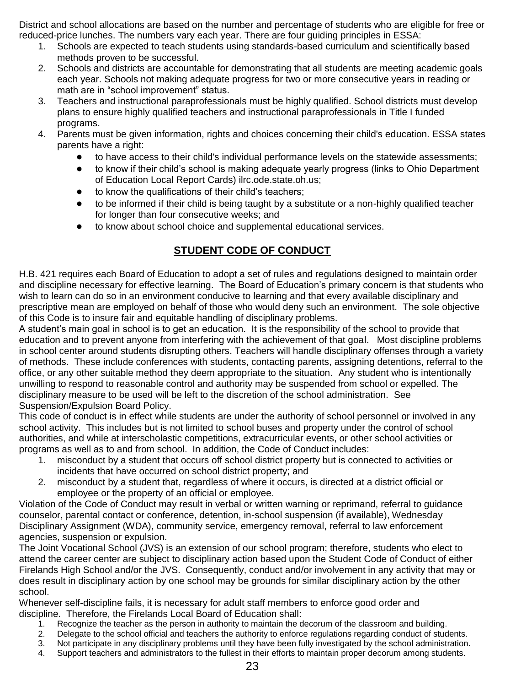District and school allocations are based on the number and percentage of students who are eligible for free or reduced-price lunches. The numbers vary each year. There are four guiding principles in ESSA:

- 1. Schools are expected to teach students using standards-based curriculum and scientifically based methods proven to be successful.
- 2. Schools and districts are accountable for demonstrating that all students are meeting academic goals each year. Schools not making adequate progress for two or more consecutive years in reading or math are in "school improvement" status.
- 3. Teachers and instructional paraprofessionals must be highly qualified. School districts must develop plans to ensure highly qualified teachers and instructional paraprofessionals in Title I funded programs.
- 4. Parents must be given information, rights and choices concerning their child's education. ESSA states parents have a right:
	- to have access to their child's individual performance levels on the statewide assessments;
	- to know if their child's school is making adequate yearly progress (links to Ohio Department of Education Local Report Cards) ilrc.ode.state.oh.us;
	- to know the qualifications of their child's teachers:
	- to be informed if their child is being taught by a substitute or a non-highly qualified teacher for longer than four consecutive weeks; and
	- to know about school choice and supplemental educational services.

# **STUDENT CODE OF CONDUCT**

<span id="page-22-0"></span>H.B. 421 requires each Board of Education to adopt a set of rules and regulations designed to maintain order and discipline necessary for effective learning. The Board of Education's primary concern is that students who wish to learn can do so in an environment conducive to learning and that every available disciplinary and prescriptive mean are employed on behalf of those who would deny such an environment. The sole objective of this Code is to insure fair and equitable handling of disciplinary problems.

A student's main goal in school is to get an education. It is the responsibility of the school to provide that education and to prevent anyone from interfering with the achievement of that goal. Most discipline problems in school center around students disrupting others. Teachers will handle disciplinary offenses through a variety of methods. These include conferences with students, contacting parents, assigning detentions, referral to the office, or any other suitable method they deem appropriate to the situation. Any student who is intentionally unwilling to respond to reasonable control and authority may be suspended from school or expelled. The disciplinary measure to be used will be left to the discretion of the school administration. See Suspension/Expulsion Board Policy.

This code of conduct is in effect while students are under the authority of school personnel or involved in any school activity. This includes but is not limited to school buses and property under the control of school authorities, and while at interscholastic competitions, extracurricular events, or other school activities or programs as well as to and from school. In addition, the Code of Conduct includes:

- 1. misconduct by a student that occurs off school district property but is connected to activities or incidents that have occurred on school district property; and
- 2. misconduct by a student that, regardless of where it occurs, is directed at a district official or employee or the property of an official or employee.

Violation of the Code of Conduct may result in verbal or written warning or reprimand, referral to guidance counselor, parental contact or conference, detention, in-school suspension (if available), Wednesday Disciplinary Assignment (WDA), community service, emergency removal, referral to law enforcement agencies, suspension or expulsion.

The Joint Vocational School (JVS) is an extension of our school program; therefore, students who elect to attend the career center are subject to disciplinary action based upon the Student Code of Conduct of either Firelands High School and/or the JVS. Consequently, conduct and/or involvement in any activity that may or does result in disciplinary action by one school may be grounds for similar disciplinary action by the other school.

Whenever self-discipline fails, it is necessary for adult staff members to enforce good order and discipline. Therefore, the Firelands Local Board of Education shall:

- 1. Recognize the teacher as the person in authority to maintain the decorum of the classroom and building.<br>2. Delegate to the school official and teachers the authority to enforce regulations regarding conduct of stud
- 2. Delegate to the school official and teachers the authority to enforce regulations regarding conduct of students.
- 3. Not participate in any disciplinary problems until they have been fully investigated by the school administration.
- Support teachers and administrators to the fullest in their efforts to maintain proper decorum among students.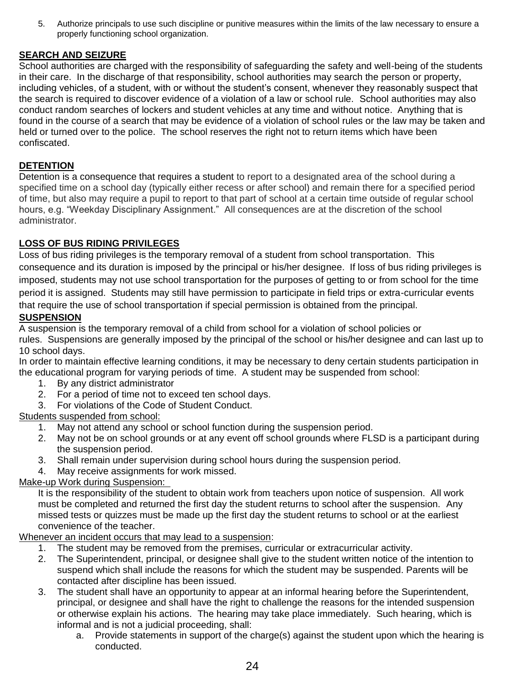5. Authorize principals to use such discipline or punitive measures within the limits of the law necessary to ensure a properly functioning school organization.

## <span id="page-23-0"></span>**SEARCH AND SEIZURE**

School authorities are charged with the responsibility of safeguarding the safety and well-being of the students in their care. In the discharge of that responsibility, school authorities may search the person or property, including vehicles, of a student, with or without the student's consent, whenever they reasonably suspect that the search is required to discover evidence of a violation of a law or school rule. School authorities may also conduct random searches of lockers and student vehicles at any time and without notice. Anything that is found in the course of a search that may be evidence of a violation of school rules or the law may be taken and held or turned over to the police. The school reserves the right not to return items which have been confiscated.

#### <span id="page-23-1"></span>**DETENTION**

Detention is a consequence that requires a student to report to a designated area of the school during a specified time on a school day (typically either recess or after school) and remain there for a specified period of time, but also may require a pupil to report to that part of school at a certain time outside of regular school hours, e.g. "Weekday Disciplinary Assignment." All consequences are at the discretion of the school administrator.

## <span id="page-23-2"></span>**LOSS OF BUS RIDING PRIVILEGES**

Loss of bus riding privileges is the temporary removal of a student from school transportation. This consequence and its duration is imposed by the principal or his/her designee. If loss of bus riding privileges is imposed, students may not use school transportation for the purposes of getting to or from school for the time period it is assigned. Students may still have permission to participate in field trips or extra-curricular events that require the use of school transportation if special permission is obtained from the principal.

## <span id="page-23-3"></span>**SUSPENSION**

A suspension is the temporary removal of a child from school for a violation of school policies or rules. Suspensions are generally imposed by the principal of the school or his/her designee and can last up to 10 school days.

In order to maintain effective learning conditions, it may be necessary to deny certain students participation in the educational program for varying periods of time. A student may be suspended from school:

- 1. By any district administrator
- 2. For a period of time not to exceed ten school days.
- 3. For violations of the Code of Student Conduct.

Students suspended from school:

- 1. May not attend any school or school function during the suspension period.
- 2. May not be on school grounds or at any event off school grounds where FLSD is a participant during the suspension period.
- 3. Shall remain under supervision during school hours during the suspension period.
- 4. May receive assignments for work missed.

## Make-up Work during Suspension:

It is the responsibility of the student to obtain work from teachers upon notice of suspension. All work must be completed and returned the first day the student returns to school after the suspension. Any missed tests or quizzes must be made up the first day the student returns to school or at the earliest convenience of the teacher.

#### Whenever an incident occurs that may lead to a suspension:

- 1. The student may be removed from the premises, curricular or extracurricular activity.
- 2. The Superintendent, principal, or designee shall give to the student written notice of the intention to suspend which shall include the reasons for which the student may be suspended. Parents will be contacted after discipline has been issued.
- 3. The student shall have an opportunity to appear at an informal hearing before the Superintendent, principal, or designee and shall have the right to challenge the reasons for the intended suspension or otherwise explain his actions. The hearing may take place immediately. Such hearing, which is informal and is not a judicial proceeding, shall:
	- a. Provide statements in support of the charge(s) against the student upon which the hearing is conducted.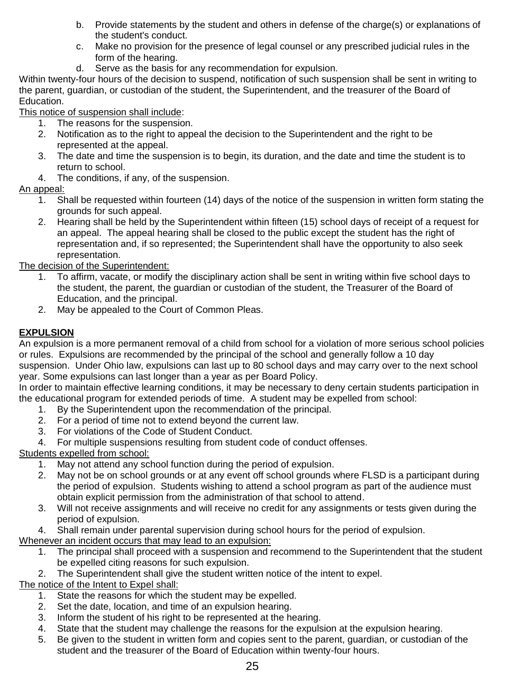- b. Provide statements by the student and others in defense of the charge(s) or explanations of the student's conduct.
- c. Make no provision for the presence of legal counsel or any prescribed judicial rules in the form of the hearing.
- d. Serve as the basis for any recommendation for expulsion.

Within twenty-four hours of the decision to suspend, notification of such suspension shall be sent in writing to the parent, guardian, or custodian of the student, the Superintendent, and the treasurer of the Board of Education.

This notice of suspension shall include:

- 1. The reasons for the suspension.
- 2. Notification as to the right to appeal the decision to the Superintendent and the right to be represented at the appeal.
- 3. The date and time the suspension is to begin, its duration, and the date and time the student is to return to school.
- 4. The conditions, if any, of the suspension.

An appeal:

- 1. Shall be requested within fourteen (14) days of the notice of the suspension in written form stating the grounds for such appeal.
- 2. Hearing shall be held by the Superintendent within fifteen (15) school days of receipt of a request for an appeal. The appeal hearing shall be closed to the public except the student has the right of representation and, if so represented; the Superintendent shall have the opportunity to also seek representation.

The decision of the Superintendent:

- 1. To affirm, vacate, or modify the disciplinary action shall be sent in writing within five school days to the student, the parent, the guardian or custodian of the student, the Treasurer of the Board of Education, and the principal.
- 2. May be appealed to the Court of Common Pleas.

# <span id="page-24-0"></span>**EXPULSION**

An expulsion is a more permanent removal of a child from school for a violation of more serious school policies or rules. Expulsions are recommended by the principal of the school and generally follow a 10 day suspension. Under Ohio law, expulsions can last up to 80 school days and may carry over to the next school year. Some expulsions can last longer than a year as per Board Policy.

In order to maintain effective learning conditions, it may be necessary to deny certain students participation in the educational program for extended periods of time. A student may be expelled from school:

- 1. By the Superintendent upon the recommendation of the principal.
- 2. For a period of time not to extend beyond the current law.
- 3. For violations of the Code of Student Conduct.

4. For multiple suspensions resulting from student code of conduct offenses.

Students expelled from school:

- 1. May not attend any school function during the period of expulsion.
- 2. May not be on school grounds or at any event off school grounds where FLSD is a participant during the period of expulsion. Students wishing to attend a school program as part of the audience must obtain explicit permission from the administration of that school to attend.
- 3. Will not receive assignments and will receive no credit for any assignments or tests given during the period of expulsion.

4. Shall remain under parental supervision during school hours for the period of expulsion.

Whenever an incident occurs that may lead to an expulsion:

- 1. The principal shall proceed with a suspension and recommend to the Superintendent that the student be expelled citing reasons for such expulsion.
- 2. The Superintendent shall give the student written notice of the intent to expel.

The notice of the Intent to Expel shall:

- 1. State the reasons for which the student may be expelled.
- 2. Set the date, location, and time of an expulsion hearing.
- 3. Inform the student of his right to be represented at the hearing.
- 4. State that the student may challenge the reasons for the expulsion at the expulsion hearing.
- 5. Be given to the student in written form and copies sent to the parent, guardian, or custodian of the student and the treasurer of the Board of Education within twenty-four hours.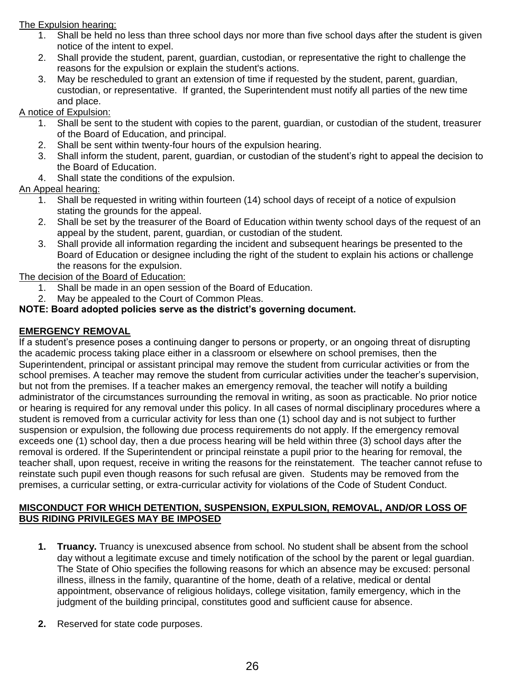The Expulsion hearing:

- 1. Shall be held no less than three school days nor more than five school days after the student is given notice of the intent to expel.
- 2. Shall provide the student, parent, guardian, custodian, or representative the right to challenge the reasons for the expulsion or explain the student's actions.
- 3. May be rescheduled to grant an extension of time if requested by the student, parent, guardian, custodian, or representative. If granted, the Superintendent must notify all parties of the new time and place.

A notice of Expulsion:

- 1. Shall be sent to the student with copies to the parent, guardian, or custodian of the student, treasurer of the Board of Education, and principal.
- 2. Shall be sent within twenty-four hours of the expulsion hearing.
- 3. Shall inform the student, parent, guardian, or custodian of the student's right to appeal the decision to the Board of Education.
- 4. Shall state the conditions of the expulsion.

An Appeal hearing:

- 1. Shall be requested in writing within fourteen (14) school days of receipt of a notice of expulsion stating the grounds for the appeal.
- 2. Shall be set by the treasurer of the Board of Education within twenty school days of the request of an appeal by the student, parent, guardian, or custodian of the student.
- 3. Shall provide all information regarding the incident and subsequent hearings be presented to the Board of Education or designee including the right of the student to explain his actions or challenge the reasons for the expulsion.

The decision of the Board of Education:

- 1. Shall be made in an open session of the Board of Education.
- 2. May be appealed to the Court of Common Pleas.

## **NOTE: Board adopted policies serve as the district's governing document.**

## <span id="page-25-0"></span>**EMERGENCY REMOVAL**

If a student's presence poses a continuing danger to persons or property, or an ongoing threat of disrupting the academic process taking place either in a classroom or elsewhere on school premises, then the Superintendent, principal or assistant principal may remove the student from curricular activities or from the school premises. A teacher may remove the student from curricular activities under the teacher's supervision, but not from the premises. If a teacher makes an emergency removal, the teacher will notify a building administrator of the circumstances surrounding the removal in writing, as soon as practicable. No prior notice or hearing is required for any removal under this policy. In all cases of normal disciplinary procedures where a student is removed from a curricular activity for less than one (1) school day and is not subject to further suspension or expulsion, the following due process requirements do not apply. If the emergency removal exceeds one (1) school day, then a due process hearing will be held within three (3) school days after the removal is ordered. If the Superintendent or principal reinstate a pupil prior to the hearing for removal, the teacher shall, upon request, receive in writing the reasons for the reinstatement. The teacher cannot refuse to reinstate such pupil even though reasons for such refusal are given. Students may be removed from the premises, a curricular setting, or extra-curricular activity for violations of the Code of Student Conduct.

## <span id="page-25-1"></span>**MISCONDUCT FOR WHICH DETENTION, SUSPENSION, EXPULSION, REMOVAL, AND/OR LOSS OF BUS RIDING PRIVILEGES MAY BE IMPOSED**

- **1. Truancy.** Truancy is unexcused absence from school. No student shall be absent from the school day without a legitimate excuse and timely notification of the school by the parent or legal guardian. The State of Ohio specifies the following reasons for which an absence may be excused: personal illness, illness in the family, quarantine of the home, death of a relative, medical or dental appointment, observance of religious holidays, college visitation, family emergency, which in the judgment of the building principal, constitutes good and sufficient cause for absence.
- **2.** Reserved for state code purposes.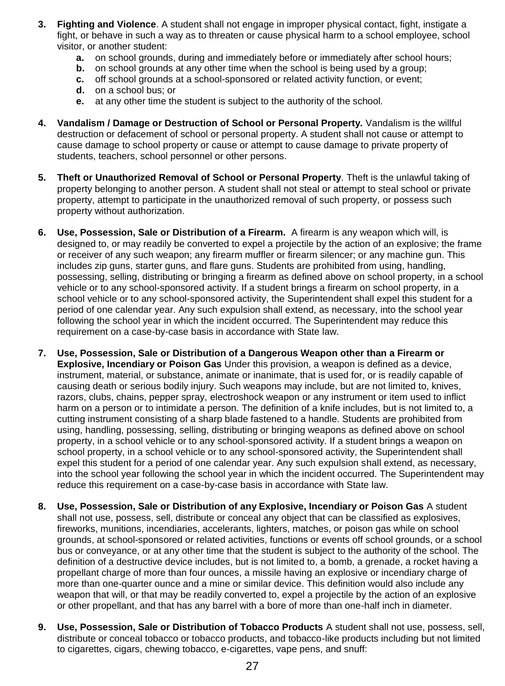- **3. Fighting and Violence**. A student shall not engage in improper physical contact, fight, instigate a fight, or behave in such a way as to threaten or cause physical harm to a school employee, school visitor, or another student:
	- **a.** on school grounds, during and immediately before or immediately after school hours;
	- **b.** on school grounds at any other time when the school is being used by a group;
	- **c.** off school grounds at a school-sponsored or related activity function, or event;
	- **d.** on a school bus; or
	- **e.** at any other time the student is subject to the authority of the school.
- **4. Vandalism / Damage or Destruction of School or Personal Property.** Vandalism is the willful destruction or defacement of school or personal property. A student shall not cause or attempt to cause damage to school property or cause or attempt to cause damage to private property of students, teachers, school personnel or other persons.
- **5. Theft or Unauthorized Removal of School or Personal Property**. Theft is the unlawful taking of property belonging to another person. A student shall not steal or attempt to steal school or private property, attempt to participate in the unauthorized removal of such property, or possess such property without authorization.
- **6. Use, Possession, Sale or Distribution of a Firearm.** A firearm is any weapon which will, is designed to, or may readily be converted to expel a projectile by the action of an explosive; the frame or receiver of any such weapon; any firearm muffler or firearm silencer; or any machine gun. This includes zip guns, starter guns, and flare guns. Students are prohibited from using, handling, possessing, selling, distributing or bringing a firearm as defined above on school property, in a school vehicle or to any school-sponsored activity. If a student brings a firearm on school property, in a school vehicle or to any school-sponsored activity, the Superintendent shall expel this student for a period of one calendar year. Any such expulsion shall extend, as necessary, into the school year following the school year in which the incident occurred. The Superintendent may reduce this requirement on a case-by-case basis in accordance with State law.
- **7. Use, Possession, Sale or Distribution of a Dangerous Weapon other than a Firearm or Explosive, Incendiary or Poison Gas** Under this provision, a weapon is defined as a device, instrument, material, or substance, animate or inanimate, that is used for, or is readily capable of causing death or serious bodily injury. Such weapons may include, but are not limited to, knives, razors, clubs, chains, pepper spray, electroshock weapon or any instrument or item used to inflict harm on a person or to intimidate a person. The definition of a knife includes, but is not limited to, a cutting instrument consisting of a sharp blade fastened to a handle. Students are prohibited from using, handling, possessing, selling, distributing or bringing weapons as defined above on school property, in a school vehicle or to any school-sponsored activity. If a student brings a weapon on school property, in a school vehicle or to any school-sponsored activity, the Superintendent shall expel this student for a period of one calendar year. Any such expulsion shall extend, as necessary, into the school year following the school year in which the incident occurred. The Superintendent may reduce this requirement on a case-by-case basis in accordance with State law.
- **8. Use, Possession, Sale or Distribution of any Explosive, Incendiary or Poison Gas** A student shall not use, possess, sell, distribute or conceal any object that can be classified as explosives, fireworks, munitions, incendiaries, accelerants, lighters, matches, or poison gas while on school grounds, at school-sponsored or related activities, functions or events off school grounds, or a school bus or conveyance, or at any other time that the student is subject to the authority of the school. The definition of a destructive device includes, but is not limited to, a bomb, a grenade, a rocket having a propellant charge of more than four ounces, a missile having an explosive or incendiary charge of more than one-quarter ounce and a mine or similar device. This definition would also include any weapon that will, or that may be readily converted to, expel a projectile by the action of an explosive or other propellant, and that has any barrel with a bore of more than one-half inch in diameter.
- **9. Use, Possession, Sale or Distribution of Tobacco Products** A student shall not use, possess, sell, distribute or conceal tobacco or tobacco products, and tobacco-like products including but not limited to cigarettes, cigars, chewing tobacco, e-cigarettes, vape pens, and snuff: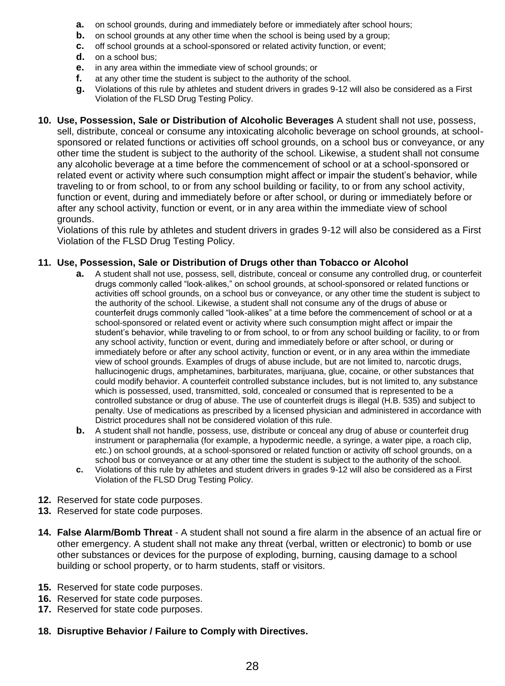- **a.** on school grounds, during and immediately before or immediately after school hours;
- **b.** on school grounds at any other time when the school is being used by a group;
- **c.** off school grounds at a school-sponsored or related activity function, or event;
- **d.** on a school bus;
- **e.** in any area within the immediate view of school grounds; or
- **f.** at any other time the student is subject to the authority of the school.
- **g.** Violations of this rule by athletes and student drivers in grades 9-12 will also be considered as a First Violation of the FLSD Drug Testing Policy.
- **10. Use, Possession, Sale or Distribution of Alcoholic Beverages** A student shall not use, possess, sell, distribute, conceal or consume any intoxicating alcoholic beverage on school grounds, at schoolsponsored or related functions or activities off school grounds, on a school bus or conveyance, or any other time the student is subject to the authority of the school. Likewise, a student shall not consume any alcoholic beverage at a time before the commencement of school or at a school-sponsored or related event or activity where such consumption might affect or impair the student's behavior, while traveling to or from school, to or from any school building or facility, to or from any school activity, function or event, during and immediately before or after school, or during or immediately before or after any school activity, function or event, or in any area within the immediate view of school grounds.

Violations of this rule by athletes and student drivers in grades 9-12 will also be considered as a First Violation of the FLSD Drug Testing Policy.

## **11. Use, Possession, Sale or Distribution of Drugs other than Tobacco or Alcohol**

- **a.** A student shall not use, possess, sell, distribute, conceal or consume any controlled drug, or counterfeit drugs commonly called "look-alikes," on school grounds, at school-sponsored or related functions or activities off school grounds, on a school bus or conveyance, or any other time the student is subject to the authority of the school. Likewise, a student shall not consume any of the drugs of abuse or counterfeit drugs commonly called "look-alikes" at a time before the commencement of school or at a school-sponsored or related event or activity where such consumption might affect or impair the student's behavior, while traveling to or from school, to or from any school building or facility, to or from any school activity, function or event, during and immediately before or after school, or during or immediately before or after any school activity, function or event, or in any area within the immediate view of school grounds. Examples of drugs of abuse include, but are not limited to, narcotic drugs, hallucinogenic drugs, amphetamines, barbiturates, marijuana, glue, cocaine, or other substances that could modify behavior. A counterfeit controlled substance includes, but is not limited to, any substance which is possessed, used, transmitted, sold, concealed or consumed that is represented to be a controlled substance or drug of abuse. The use of counterfeit drugs is illegal (H.B. 535) and subject to penalty. Use of medications as prescribed by a licensed physician and administered in accordance with District procedures shall not be considered violation of this rule.
- **b.** A student shall not handle, possess, use, distribute or conceal any drug of abuse or counterfeit drug instrument or paraphernalia (for example, a hypodermic needle, a syringe, a water pipe, a roach clip, etc.) on school grounds, at a school-sponsored or related function or activity off school grounds, on a school bus or conveyance or at any other time the student is subject to the authority of the school.
- **c.** Violations of this rule by athletes and student drivers in grades 9-12 will also be considered as a First Violation of the FLSD Drug Testing Policy.
- **12.** Reserved for state code purposes.
- **13.** Reserved for state code purposes.
- **14. False Alarm/Bomb Threat** A student shall not sound a fire alarm in the absence of an actual fire or other emergency. A student shall not make any threat (verbal, written or electronic) to bomb or use other substances or devices for the purpose of exploding, burning, causing damage to a school building or school property, or to harm students, staff or visitors.
- **15.** Reserved for state code purposes.
- **16.** Reserved for state code purposes.
- **17.** Reserved for state code purposes.
- **18. Disruptive Behavior / Failure to Comply with Directives.**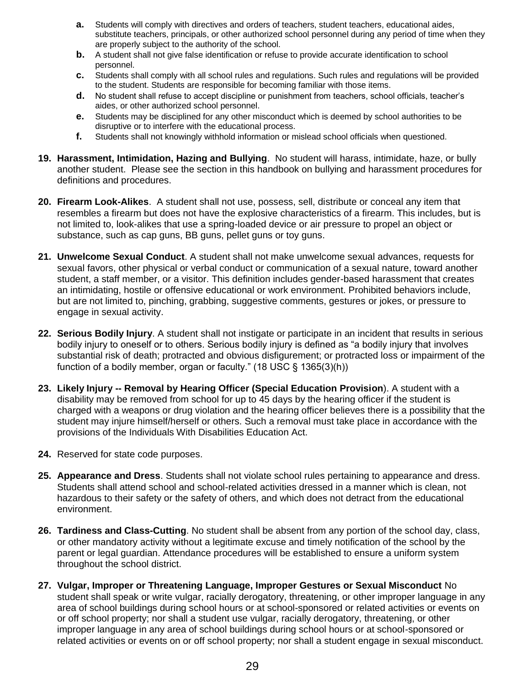- **a.** Students will comply with directives and orders of teachers, student teachers, educational aides, substitute teachers, principals, or other authorized school personnel during any period of time when they are properly subject to the authority of the school.
- **b.** A student shall not give false identification or refuse to provide accurate identification to school personnel.
- **c.** Students shall comply with all school rules and regulations. Such rules and regulations will be provided to the student. Students are responsible for becoming familiar with those items.
- **d.** No student shall refuse to accept discipline or punishment from teachers, school officials, teacher's aides, or other authorized school personnel.
- **e.** Students may be disciplined for any other misconduct which is deemed by school authorities to be disruptive or to interfere with the educational process.
- **f.** Students shall not knowingly withhold information or mislead school officials when questioned.
- **19. Harassment, Intimidation, Hazing and Bullying**. No student will harass, intimidate, haze, or bully another student. Please see the section in this handbook on bullying and harassment procedures for definitions and procedures.
- **20. Firearm Look-Alikes**. A student shall not use, possess, sell, distribute or conceal any item that resembles a firearm but does not have the explosive characteristics of a firearm. This includes, but is not limited to, look-alikes that use a spring-loaded device or air pressure to propel an object or substance, such as cap guns, BB guns, pellet guns or toy guns.
- **21. Unwelcome Sexual Conduct**. A student shall not make unwelcome sexual advances, requests for sexual favors, other physical or verbal conduct or communication of a sexual nature, toward another student, a staff member, or a visitor. This definition includes gender-based harassment that creates an intimidating, hostile or offensive educational or work environment. Prohibited behaviors include, but are not limited to, pinching, grabbing, suggestive comments, gestures or jokes, or pressure to engage in sexual activity.
- **22. Serious Bodily Injury**. A student shall not instigate or participate in an incident that results in serious bodily injury to oneself or to others. Serious bodily injury is defined as "a bodily injury that involves substantial risk of death; protracted and obvious disfigurement; or protracted loss or impairment of the function of a bodily member, organ or faculty." (18 USC § 1365(3)(h))
- **23. Likely Injury -- Removal by Hearing Officer (Special Education Provision**). A student with a disability may be removed from school for up to 45 days by the hearing officer if the student is charged with a weapons or drug violation and the hearing officer believes there is a possibility that the student may injure himself/herself or others. Such a removal must take place in accordance with the provisions of the Individuals With Disabilities Education Act.
- **24.** Reserved for state code purposes.
- **25. Appearance and Dress**. Students shall not violate school rules pertaining to appearance and dress. Students shall attend school and school-related activities dressed in a manner which is clean, not hazardous to their safety or the safety of others, and which does not detract from the educational environment.
- **26. Tardiness and Class-Cutting**. No student shall be absent from any portion of the school day, class, or other mandatory activity without a legitimate excuse and timely notification of the school by the parent or legal guardian. Attendance procedures will be established to ensure a uniform system throughout the school district.
- **27. Vulgar, Improper or Threatening Language, Improper Gestures or Sexual Misconduct** No student shall speak or write vulgar, racially derogatory, threatening, or other improper language in any area of school buildings during school hours or at school-sponsored or related activities or events on or off school property; nor shall a student use vulgar, racially derogatory, threatening, or other improper language in any area of school buildings during school hours or at school-sponsored or related activities or events on or off school property; nor shall a student engage in sexual misconduct.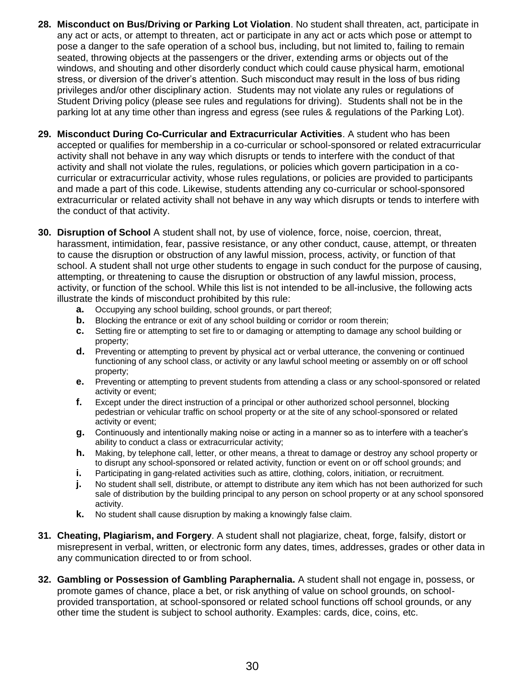- **28. Misconduct on Bus/Driving or Parking Lot Violation**. No student shall threaten, act, participate in any act or acts, or attempt to threaten, act or participate in any act or acts which pose or attempt to pose a danger to the safe operation of a school bus, including, but not limited to, failing to remain seated, throwing objects at the passengers or the driver, extending arms or objects out of the windows, and shouting and other disorderly conduct which could cause physical harm, emotional stress, or diversion of the driver's attention. Such misconduct may result in the loss of bus riding privileges and/or other disciplinary action. Students may not violate any rules or regulations of Student Driving policy (please see rules and regulations for driving). Students shall not be in the parking lot at any time other than ingress and egress (see rules & regulations of the Parking Lot).
- **29. Misconduct During Co-Curricular and Extracurricular Activities**. A student who has been accepted or qualifies for membership in a co-curricular or school-sponsored or related extracurricular activity shall not behave in any way which disrupts or tends to interfere with the conduct of that activity and shall not violate the rules, regulations, or policies which govern participation in a cocurricular or extracurricular activity, whose rules regulations, or policies are provided to participants and made a part of this code. Likewise, students attending any co-curricular or school-sponsored extracurricular or related activity shall not behave in any way which disrupts or tends to interfere with the conduct of that activity.
- **30. Disruption of School** A student shall not, by use of violence, force, noise, coercion, threat, harassment, intimidation, fear, passive resistance, or any other conduct, cause, attempt, or threaten to cause the disruption or obstruction of any lawful mission, process, activity, or function of that school. A student shall not urge other students to engage in such conduct for the purpose of causing, attempting, or threatening to cause the disruption or obstruction of any lawful mission, process, activity, or function of the school. While this list is not intended to be all-inclusive, the following acts illustrate the kinds of misconduct prohibited by this rule:
	- **a.** Occupying any school building, school grounds, or part thereof;
	- **b.** Blocking the entrance or exit of any school building or corridor or room therein;
	- **c.** Setting fire or attempting to set fire to or damaging or attempting to damage any school building or property;
	- **d.** Preventing or attempting to prevent by physical act or verbal utterance, the convening or continued functioning of any school class, or activity or any lawful school meeting or assembly on or off school property;
	- **e.** Preventing or attempting to prevent students from attending a class or any school-sponsored or related activity or event;
	- **f.** Except under the direct instruction of a principal or other authorized school personnel, blocking pedestrian or vehicular traffic on school property or at the site of any school-sponsored or related activity or event;
	- **g.** Continuously and intentionally making noise or acting in a manner so as to interfere with a teacher's ability to conduct a class or extracurricular activity;
	- **h.** Making, by telephone call, letter, or other means, a threat to damage or destroy any school property or to disrupt any school-sponsored or related activity, function or event on or off school grounds; and
	- **i.** Participating in gang-related activities such as attire, clothing, colors, initiation, or recruitment.
	- **j.** No student shall sell, distribute, or attempt to distribute any item which has not been authorized for such sale of distribution by the building principal to any person on school property or at any school sponsored activity.
	- **k.** No student shall cause disruption by making a knowingly false claim.
- **31. Cheating, Plagiarism, and Forgery**. A student shall not plagiarize, cheat, forge, falsify, distort or misrepresent in verbal, written, or electronic form any dates, times, addresses, grades or other data in any communication directed to or from school.
- **32. Gambling or Possession of Gambling Paraphernalia.** A student shall not engage in, possess, or promote games of chance, place a bet, or risk anything of value on school grounds, on schoolprovided transportation, at school-sponsored or related school functions off school grounds, or any other time the student is subject to school authority. Examples: cards, dice, coins, etc.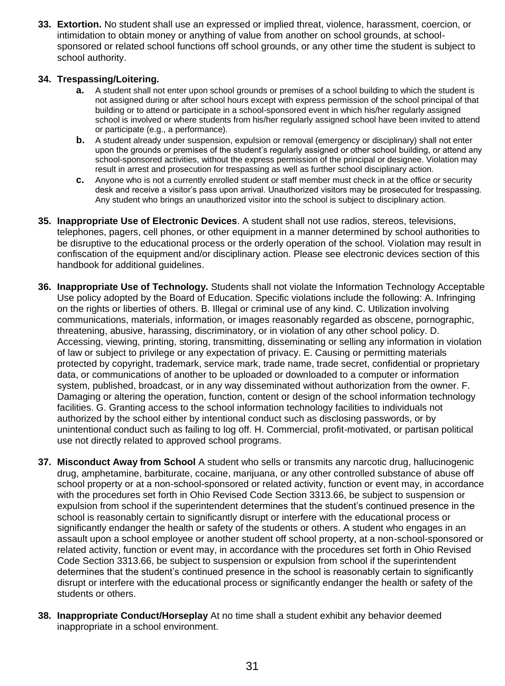**33. Extortion.** No student shall use an expressed or implied threat, violence, harassment, coercion, or intimidation to obtain money or anything of value from another on school grounds, at schoolsponsored or related school functions off school grounds, or any other time the student is subject to school authority.

#### **34. Trespassing/Loitering.**

- **a.** A student shall not enter upon school grounds or premises of a school building to which the student is not assigned during or after school hours except with express permission of the school principal of that building or to attend or participate in a school-sponsored event in which his/her regularly assigned school is involved or where students from his/her regularly assigned school have been invited to attend or participate (e.g., a performance).
- **b.** A student already under suspension, expulsion or removal (emergency or disciplinary) shall not enter upon the grounds or premises of the student's regularly assigned or other school building, or attend any school-sponsored activities, without the express permission of the principal or designee. Violation may result in arrest and prosecution for trespassing as well as further school disciplinary action.
- **c.** Anyone who is not a currently enrolled student or staff member must check in at the office or security desk and receive a visitor's pass upon arrival. Unauthorized visitors may be prosecuted for trespassing. Any student who brings an unauthorized visitor into the school is subject to disciplinary action.
- **35. Inappropriate Use of Electronic Devices**. A student shall not use radios, stereos, televisions, telephones, pagers, cell phones, or other equipment in a manner determined by school authorities to be disruptive to the educational process or the orderly operation of the school. Violation may result in confiscation of the equipment and/or disciplinary action. Please see electronic devices section of this handbook for additional guidelines.
- **36. Inappropriate Use of Technology.** Students shall not violate the Information Technology Acceptable Use policy adopted by the Board of Education. Specific violations include the following: A. Infringing on the rights or liberties of others. B. Illegal or criminal use of any kind. C. Utilization involving communications, materials, information, or images reasonably regarded as obscene, pornographic, threatening, abusive, harassing, discriminatory, or in violation of any other school policy. D. Accessing, viewing, printing, storing, transmitting, disseminating or selling any information in violation of law or subject to privilege or any expectation of privacy. E. Causing or permitting materials protected by copyright, trademark, service mark, trade name, trade secret, confidential or proprietary data, or communications of another to be uploaded or downloaded to a computer or information system, published, broadcast, or in any way disseminated without authorization from the owner. F. Damaging or altering the operation, function, content or design of the school information technology facilities. G. Granting access to the school information technology facilities to individuals not authorized by the school either by intentional conduct such as disclosing passwords, or by unintentional conduct such as failing to log off. H. Commercial, profit-motivated, or partisan political use not directly related to approved school programs.
- **37. Misconduct Away from School** A student who sells or transmits any narcotic drug, hallucinogenic drug, amphetamine, barbiturate, cocaine, marijuana, or any other controlled substance of abuse off school property or at a non-school-sponsored or related activity, function or event may, in accordance with the procedures set forth in Ohio Revised Code Section 3313.66, be subject to suspension or expulsion from school if the superintendent determines that the student's continued presence in the school is reasonably certain to significantly disrupt or interfere with the educational process or significantly endanger the health or safety of the students or others. A student who engages in an assault upon a school employee or another student off school property, at a non-school-sponsored or related activity, function or event may, in accordance with the procedures set forth in Ohio Revised Code Section 3313.66, be subject to suspension or expulsion from school if the superintendent determines that the student's continued presence in the school is reasonably certain to significantly disrupt or interfere with the educational process or significantly endanger the health or safety of the students or others.
- **38. Inappropriate Conduct/Horseplay** At no time shall a student exhibit any behavior deemed inappropriate in a school environment.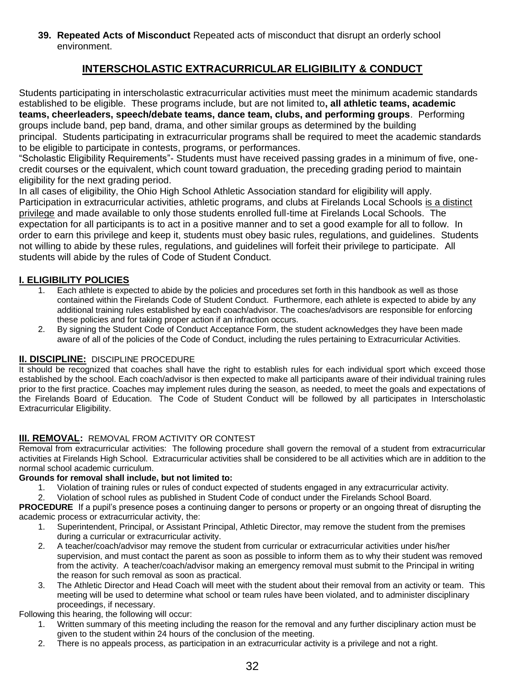**39. Repeated Acts of Misconduct** Repeated acts of misconduct that disrupt an orderly school environment.

## **INTERSCHOLASTIC EXTRACURRICULAR ELIGIBILITY & CONDUCT**

<span id="page-31-0"></span>Students participating in interscholastic extracurricular activities must meet the minimum academic standards established to be eligible. These programs include, but are not limited to**, all athletic teams, academic teams, cheerleaders, speech/debate teams, dance team, clubs, and performing groups**. Performing groups include band, pep band, drama, and other similar groups as determined by the building principal. Students participating in extracurricular programs shall be required to meet the academic standards to be eligible to participate in contests, programs, or performances.

"Scholastic Eligibility Requirements"- Students must have received passing grades in a minimum of five, onecredit courses or the equivalent, which count toward graduation, the preceding grading period to maintain eligibility for the next grading period.

In all cases of eligibility, the Ohio High School Athletic Association standard for eligibility will apply. Participation in extracurricular activities, athletic programs, and clubs at Firelands Local Schools is a distinct privilege and made available to only those students enrolled full-time at Firelands Local Schools. The expectation for all participants is to act in a positive manner and to set a good example for all to follow. In order to earn this privilege and keep it, students must obey basic rules, regulations, and guidelines. Students not willing to abide by these rules, regulations, and guidelines will forfeit their privilege to participate. All students will abide by the rules of Code of Student Conduct.

## <span id="page-31-1"></span>**I. ELIGIBILITY POLICIES**

- 1. Each athlete is expected to abide by the policies and procedures set forth in this handbook as well as those contained within the Firelands Code of Student Conduct. Furthermore, each athlete is expected to abide by any additional training rules established by each coach/advisor. The coaches/advisors are responsible for enforcing these policies and for taking proper action if an infraction occurs.
- 2. By signing the Student Code of Conduct Acceptance Form, the student acknowledges they have been made aware of all of the policies of the Code of Conduct, including the rules pertaining to Extracurricular Activities.

#### **II. DISCIPLINE:** DISCIPLINE PROCEDURE

It should be recognized that coaches shall have the right to establish rules for each individual sport which exceed those established by the school. Each coach/advisor is then expected to make all participants aware of their individual training rules prior to the first practice. Coaches may implement rules during the season, as needed, to meet the goals and expectations of the Firelands Board of Education. The Code of Student Conduct will be followed by all participates in Interscholastic Extracurricular Eligibility.

#### **III. REMOVAL: REMOVAL FROM ACTIVITY OR CONTEST**

Removal from extracurricular activities: The following procedure shall govern the removal of a student from extracurricular activities at Firelands High School. Extracurricular activities shall be considered to be all activities which are in addition to the normal school academic curriculum.

#### **Grounds for removal shall include, but not limited to:**

1. Violation of training rules or rules of conduct expected of students engaged in any extracurricular activity.<br>2. Violation of school rules as published in Student Code of conduct under the Firelands School Board.

2. Violation of school rules as published in Student Code of conduct under the Firelands School Board.

**PROCEDURE** If a pupil's presence poses a continuing danger to persons or property or an ongoing threat of disrupting the academic process or extracurricular activity, the:

- 1. Superintendent, Principal, or Assistant Principal, Athletic Director, may remove the student from the premises during a curricular or extracurricular activity.
- 2. A teacher/coach/advisor may remove the student from curricular or extracurricular activities under his/her supervision, and must contact the parent as soon as possible to inform them as to why their student was removed from the activity. A teacher/coach/advisor making an emergency removal must submit to the Principal in writing the reason for such removal as soon as practical.
- 3. The Athletic Director and Head Coach will meet with the student about their removal from an activity or team. This meeting will be used to determine what school or team rules have been violated, and to administer disciplinary proceedings, if necessary.

Following this hearing, the following will occur:

- 1. Written summary of this meeting including the reason for the removal and any further disciplinary action must be given to the student within 24 hours of the conclusion of the meeting.
- 2. There is no appeals process, as participation in an extracurricular activity is a privilege and not a right.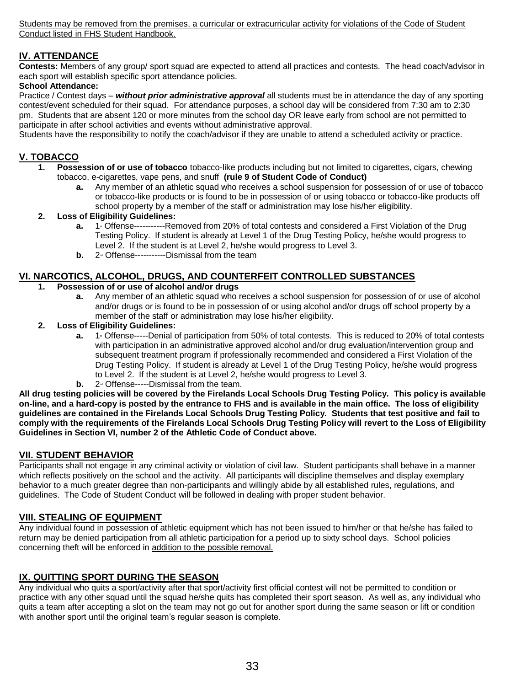Students may be removed from the premises, a curricular or extracurricular activity for violations of the Code of Student Conduct listed in FHS Student Handbook.

## <span id="page-32-0"></span>**IV. ATTENDANCE**

**Contests:** Members of any group/ sport squad are expected to attend all practices and contests. The head coach/advisor in each sport will establish specific sport attendance policies.

#### **School Attendance:**

Practice / Contest days – *without prior administrative approval* all students must be in attendance the day of any sporting contest/event scheduled for their squad. For attendance purposes, a school day will be considered from 7:30 am to 2:30 pm. Students that are absent 120 or more minutes from the school day OR leave early from school are not permitted to participate in after school activities and events without administrative approval.

Students have the responsibility to notify the coach/advisor if they are unable to attend a scheduled activity or practice.

#### <span id="page-32-1"></span>**V. TOBACCO**

- **1. Possession of or use of tobacco** tobacco-like products including but not limited to cigarettes, cigars, chewing tobacco, e-cigarettes, vape pens, and snuff **(rule 9 of Student Code of Conduct)**
	- **a.** Any member of an athletic squad who receives a school suspension for possession of or use of tobacco or tobacco-like products or is found to be in possession of or using tobacco or tobacco-like products off school property by a member of the staff or administration may lose his/her eligibility.

#### **2. Loss of Eligibility Guidelines:**

- **a.** 1<sup>s</sup> Offense------------Removed from 20% of total contests and considered a First Violation of the Drug Testing Policy. If student is already at Level 1 of the Drug Testing Policy, he/she would progress to Level 2. If the student is at Level 2, he/she would progress to Level 3.
- **b.** 2<sup>nd</sup> Offense------------Dismissal from the team

#### <span id="page-32-2"></span>**VI. NARCOTICS, ALCOHOL, DRUGS, AND COUNTERFEIT CONTROLLED SUBSTANCES**

#### **1. Possession of or use of alcohol and/or drugs**

- **a.** Any member of an athletic squad who receives a school suspension for possession of or use of alcohol and/or drugs or is found to be in possession of or using alcohol and/or drugs off school property by a member of the staff or administration may lose his/her eligibility.
- **2. Loss of Eligibility Guidelines:**
	- **a.** 1<sup>s</sup> Offense-----Denial of participation from 50% of total contests. This is reduced to 20% of total contests with participation in an administrative approved alcohol and/or drug evaluation/intervention group and subsequent treatment program if professionally recommended and considered a First Violation of the Drug Testing Policy. If student is already at Level 1 of the Drug Testing Policy, he/she would progress to Level 2. If the student is at Level 2, he/she would progress to Level 3.
	- **b.** 2<sup>*d*</sup> Offense-----Dismissal from the team.

**All drug testing policies will be covered by the Firelands Local Schools Drug Testing Policy. This policy is available on-line, and a hard-copy is posted by the entrance to FHS and is available in the main office. The loss of eligibility guidelines are contained in the Firelands Local Schools Drug Testing Policy. Students that test positive and fail to comply with the requirements of the Firelands Local Schools Drug Testing Policy will revert to the Loss of Eligibility Guidelines in Section VI, number 2 of the Athletic Code of Conduct above.**

#### <span id="page-32-3"></span>**VII. STUDENT BEHAVIOR**

Participants shall not engage in any criminal activity or violation of civil law. Student participants shall behave in a manner which reflects positively on the school and the activity. All participants will discipline themselves and display exemplary behavior to a much greater degree than non-participants and willingly abide by all established rules, regulations, and guidelines. The Code of Student Conduct will be followed in dealing with proper student behavior.

#### <span id="page-32-4"></span>**VIII. STEALING OF EQUIPMENT**

Any individual found in possession of athletic equipment which has not been issued to him/her or that he/she has failed to return may be denied participation from all athletic participation for a period up to sixty school days. School policies concerning theft will be enforced in addition to the possible removal.

#### <span id="page-32-5"></span>**IX. QUITTING SPORT DURING THE SEASON**

Any individual who quits a sport/activity after that sport/activity first official contest will not be permitted to condition or practice with any other squad until the squad he/she quits has completed their sport season. As well as, any individual who quits a team after accepting a slot on the team may not go out for another sport during the same season or lift or condition with another sport until the original team's regular season is complete.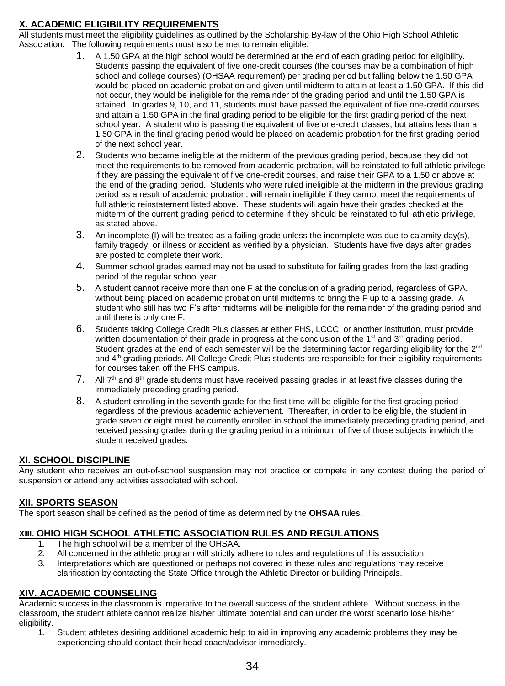## **X. ACADEMIC ELIGIBILITY REQUIREMENTS**

All students must meet the eligibility guidelines as outlined by the Scholarship By-law of the Ohio High School Athletic Association. The following requirements must also be met to remain eligible:

- 1. A 1.50 GPA at the high school would be determined at the end of each grading period for eligibility. Students passing the equivalent of five one-credit courses (the courses may be a combination of high school and college courses) (OHSAA requirement) per grading period but falling below the 1.50 GPA would be placed on academic probation and given until midterm to attain at least a 1.50 GPA. If this did not occur, they would be ineligible for the remainder of the grading period and until the 1.50 GPA is attained. In grades 9, 10, and 11, students must have passed the equivalent of five one-credit courses and attain a 1.50 GPA in the final grading period to be eligible for the first grading period of the next school year. A student who is passing the equivalent of five one-credit classes, but attains less than a 1.50 GPA in the final grading period would be placed on academic probation for the first grading period of the next school year.
- 2. Students who became ineligible at the midterm of the previous grading period, because they did not meet the requirements to be removed from academic probation, will be reinstated to full athletic privilege if they are passing the equivalent of five one-credit courses, and raise their GPA to a 1.50 or above at the end of the grading period. Students who were ruled ineligible at the midterm in the previous grading period as a result of academic probation, will remain ineligible if they cannot meet the requirements of full athletic reinstatement listed above. These students will again have their grades checked at the midterm of the current grading period to determine if they should be reinstated to full athletic privilege, as stated above.
- 3. An incomplete (I) will be treated as a failing grade unless the incomplete was due to calamity day(s), family tragedy, or illness or accident as verified by a physician. Students have five days after grades are posted to complete their work.
- 4. Summer school grades earned may not be used to substitute for failing grades from the last grading period of the regular school year.
- 5. A student cannot receive more than one F at the conclusion of a grading period, regardless of GPA, without being placed on academic probation until midterms to bring the F up to a passing grade. A student who still has two F's after midterms will be ineligible for the remainder of the grading period and until there is only one F.
- 6. Students taking College Credit Plus classes at either FHS, LCCC, or another institution, must provide written documentation of their grade in progress at the conclusion of the 1<sup>st</sup> and 3<sup>rd</sup> grading period. Student grades at the end of each semester will be the determining factor regarding eligibility for the 2<sup>nd</sup> and 4th grading periods. All College Credit Plus students are responsible for their eligibility requirements for courses taken off the FHS campus.
- 7. All  $7<sup>th</sup>$  and  $8<sup>th</sup>$  grade students must have received passing grades in at least five classes during the immediately preceding grading period.
- 8. A student enrolling in the seventh grade for the first time will be eligible for the first grading period regardless of the previous academic achievement. Thereafter, in order to be eligible, the student in grade seven or eight must be currently enrolled in school the immediately preceding grading period, and received passing grades during the grading period in a minimum of five of those subjects in which the student received grades.

## <span id="page-33-0"></span>**XI. SCHOOL DISCIPLINE**

Any student who receives an out-of-school suspension may not practice or compete in any contest during the period of suspension or attend any activities associated with school.

## **XII. SPORTS SEASON**

The sport season shall be defined as the period of time as determined by the **OHSAA** rules.

## <span id="page-33-1"></span>**XIII. OHIO HIGH SCHOOL ATHLETIC ASSOCIATION RULES AND REGULATIONS**

- 1. The high school will be a member of the OHSAA.
- 2. All concerned in the athletic program will strictly adhere to rules and regulations of this association.
- 3. Interpretations which are questioned or perhaps not covered in these rules and regulations may receive clarification by contacting the State Office through the Athletic Director or building Principals.

#### <span id="page-33-2"></span>**XIV. ACADEMIC COUNSELING**

Academic success in the classroom is imperative to the overall success of the student athlete. Without success in the classroom, the student athlete cannot realize his/her ultimate potential and can under the worst scenario lose his/her eligibility.

1. Student athletes desiring additional academic help to aid in improving any academic problems they may be experiencing should contact their head coach/advisor immediately.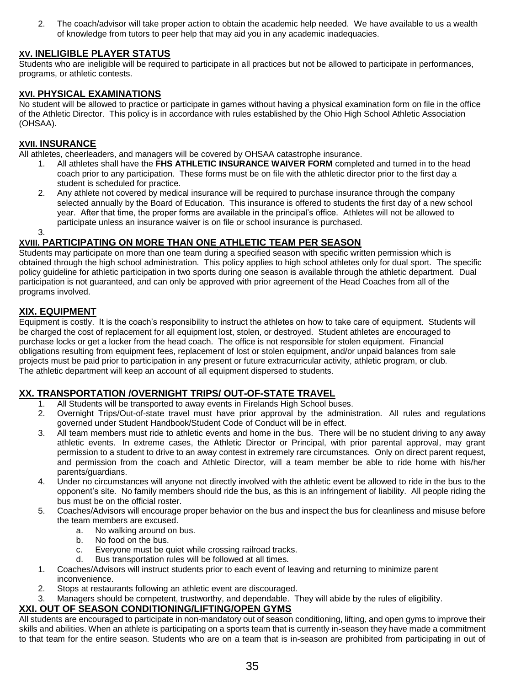2. The coach/advisor will take proper action to obtain the academic help needed. We have available to us a wealth of knowledge from tutors to peer help that may aid you in any academic inadequacies.

#### <span id="page-34-0"></span>**XV. INELIGIBLE PLAYER STATUS**

Students who are ineligible will be required to participate in all practices but not be allowed to participate in performances, programs, or athletic contests.

#### <span id="page-34-1"></span>**XVI. PHYSICAL EXAMINATIONS**

No student will be allowed to practice or participate in games without having a physical examination form on file in the office of the Athletic Director. This policy is in accordance with rules established by the Ohio High School Athletic Association (OHSAA).

#### <span id="page-34-2"></span>**XVII. INSURANCE**

All athletes, cheerleaders, and managers will be covered by OHSAA catastrophe insurance.

- 1. All athletes shall have the **FHS ATHLETIC INSURANCE WAIVER FORM** completed and turned in to the head coach prior to any participation. These forms must be on file with the athletic director prior to the first day a student is scheduled for practice.
- 2. Any athlete not covered by medical insurance will be required to purchase insurance through the company selected annually by the Board of Education. This insurance is offered to students the first day of a new school year. After that time, the proper forms are available in the principal's office. Athletes will not be allowed to participate unless an insurance waiver is on file or school insurance is purchased. 3.
- <span id="page-34-3"></span>**XVIII. PARTICIPATING ON MORE THAN ONE ATHLETIC TEAM PER SEASON**

Students may participate on more than one team during a specified season with specific written permission which is obtained through the high school administration. This policy applies to high school athletes only for dual sport. The specific policy guideline for athletic participation in two sports during one season is available through the athletic department. Dual participation is not guaranteed, and can only be approved with prior agreement of the Head Coaches from all of the programs involved.

#### <span id="page-34-4"></span>**XIX. EQUIPMENT**

Equipment is costly. It is the coach's responsibility to instruct the athletes on how to take care of equipment. Students will be charged the cost of replacement for all equipment lost, stolen, or destroyed. Student athletes are encouraged to purchase locks or get a locker from the head coach. The office is not responsible for stolen equipment. Financial obligations resulting from equipment fees, replacement of lost or stolen equipment, and/or unpaid balances from sale projects must be paid prior to participation in any present or future extracurricular activity, athletic program, or club. The athletic department will keep an account of all equipment dispersed to students.

#### <span id="page-34-5"></span>**XX. TRANSPORTATION /OVERNIGHT TRIPS/ OUT-OF-STATE TRAVEL**

- 1. All Students will be transported to away events in Firelands High School buses.<br>2. Overnight Trips/Out-of-state travel must have prior approval by the administ
- 2. Overnight Trips/Out-of-state travel must have prior approval by the administration. All rules and regulations governed under Student Handbook/Student Code of Conduct will be in effect.
- 3. All team members must ride to athletic events and home in the bus. There will be no student driving to any away athletic events. In extreme cases, the Athletic Director or Principal, with prior parental approval, may grant permission to a student to drive to an away contest in extremely rare circumstances. Only on direct parent request, and permission from the coach and Athletic Director, will a team member be able to ride home with his/her parents/guardians.
- 4. Under no circumstances will anyone not directly involved with the athletic event be allowed to ride in the bus to the opponent's site. No family members should ride the bus, as this is an infringement of liability. All people riding the bus must be on the official roster.
- 5. Coaches/Advisors will encourage proper behavior on the bus and inspect the bus for cleanliness and misuse before the team members are excused.
	- a. No walking around on bus.
	- b. No food on the bus.
	- c. Everyone must be quiet while crossing railroad tracks.<br>d. Bus transportation rules will be followed at all times
	- Bus transportation rules will be followed at all times.
- 1. Coaches/Advisors will instruct students prior to each event of leaving and returning to minimize parent inconvenience.
- 2. Stops at restaurants following an athletic event are discouraged.
- Managers should be competent, trustworthy, and dependable. They will abide by the rules of eligibility.

#### <span id="page-34-6"></span>**XXI. OUT OF SEASON CONDITIONING/LIFTING/OPEN GYMS**

All students are encouraged to participate in non-mandatory out of season conditioning, lifting, and open gyms to improve their skills and abilities. When an athlete is participating on a sports team that is currently in-season they have made a commitment to that team for the entire season. Students who are on a team that is in-season are prohibited from participating in out of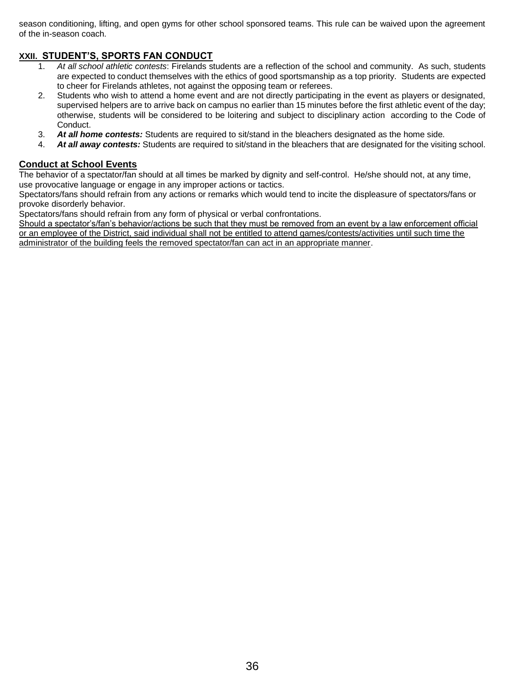season conditioning, lifting, and open gyms for other school sponsored teams. This rule can be waived upon the agreement of the in-season coach.

#### <span id="page-35-0"></span>**XXII. STUDENT'S, SPORTS FAN CONDUCT**

- 1. *At all school athletic contests*: Firelands students are a reflection of the school and community. As such, students are expected to conduct themselves with the ethics of good sportsmanship as a top priority. Students are expected to cheer for Firelands athletes, not against the opposing team or referees.
- 2. Students who wish to attend a home event and are not directly participating in the event as players or designated, supervised helpers are to arrive back on campus no earlier than 15 minutes before the first athletic event of the day; otherwise, students will be considered to be loitering and subject to disciplinary action according to the Code of Conduct.
- 3. *At all home contests:* Students are required to sit/stand in the bleachers designated as the home side.
- 4. *At all away contests:* Students are required to sit/stand in the bleachers that are designated for the visiting school.

## **Conduct at School Events**

The behavior of a spectator/fan should at all times be marked by dignity and self-control. He/she should not, at any time, use provocative language or engage in any improper actions or tactics.

Spectators/fans should refrain from any actions or remarks which would tend to incite the displeasure of spectators/fans or provoke disorderly behavior.

Spectators/fans should refrain from any form of physical or verbal confrontations.

<span id="page-35-1"></span>Should a spectator's/fan's behavior/actions be such that they must be removed from an event by a law enforcement official or an employee of the District, said individual shall not be entitled to attend games/contests/activities until such time the administrator of the building feels the removed spectator/fan can act in an appropriate manner.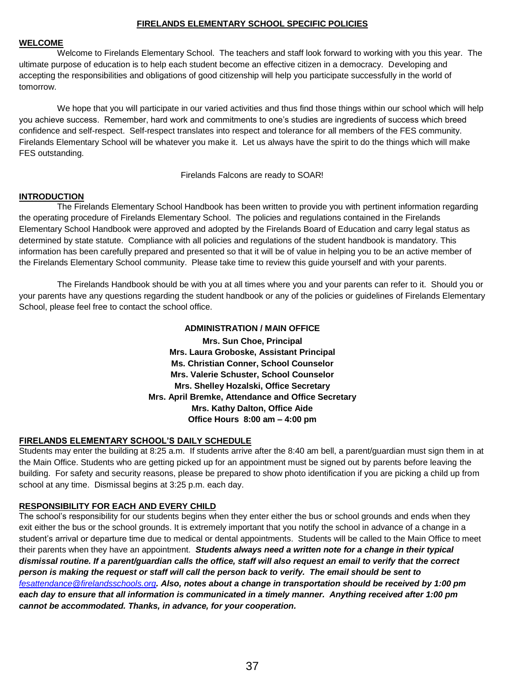#### **FIRELANDS ELEMENTARY SCHOOL SPECIFIC POLICIES**

#### <span id="page-36-0"></span>**WELCOME**

Welcome to Firelands Elementary School. The teachers and staff look forward to working with you this year. The ultimate purpose of education is to help each student become an effective citizen in a democracy. Developing and accepting the responsibilities and obligations of good citizenship will help you participate successfully in the world of tomorrow.

We hope that you will participate in our varied activities and thus find those things within our school which will help you achieve success. Remember, hard work and commitments to one's studies are ingredients of success which breed confidence and self-respect. Self-respect translates into respect and tolerance for all members of the FES community. Firelands Elementary School will be whatever you make it. Let us always have the spirit to do the things which will make FES outstanding.

Firelands Falcons are ready to SOAR!

#### <span id="page-36-1"></span>**INTRODUCTION**

The Firelands Elementary School Handbook has been written to provide you with pertinent information regarding the operating procedure of Firelands Elementary School. The policies and regulations contained in the Firelands Elementary School Handbook were approved and adopted by the Firelands Board of Education and carry legal status as determined by state statute. Compliance with all policies and regulations of the student handbook is mandatory. This information has been carefully prepared and presented so that it will be of value in helping you to be an active member of the Firelands Elementary School community. Please take time to review this guide yourself and with your parents.

<span id="page-36-2"></span> The Firelands Handbook should be with you at all times where you and your parents can refer to it. Should you or your parents have any questions regarding the student handbook or any of the policies or guidelines of Firelands Elementary School, please feel free to contact the school office.

> **ADMINISTRATION / MAIN OFFICE Mrs. Sun Choe, Principal Mrs. Laura Groboske, Assistant Principal Ms. Christian Conner, School Counselor Mrs. Valerie Schuster, School Counselor Mrs. Shelley Hozalski, Office Secretary Mrs. April Bremke, Attendance and Office Secretary Mrs. Kathy Dalton, Office Aide Office Hours 8:00 am – 4:00 pm**

#### <span id="page-36-3"></span>**FIRELANDS ELEMENTARY SCHOOL'S DAILY SCHEDULE**

Students may enter the building at 8:25 a.m. If students arrive after the 8:40 am bell, a parent/guardian must sign them in at the Main Office. Students who are getting picked up for an appointment must be signed out by parents before leaving the building. For safety and security reasons, please be prepared to show photo identification if you are picking a child up from school at any time. Dismissal begins at 3:25 p.m. each day.

#### <span id="page-36-4"></span>**RESPONSIBILITY FOR EACH AND EVERY CHILD**

The school's responsibility for our students begins when they enter either the bus or school grounds and ends when they exit either the bus or the school grounds. It is extremely important that you notify the school in advance of a change in a student's arrival or departure time due to medical or dental appointments. Students will be called to the Main Office to meet their parents when they have an appointment. *Students always need a written note for a change in their typical dismissal routine. If a parent/guardian calls the office, staff will also request an email to verify that the correct person is making the request or staff will call the person back to verify. The email should be sent to [fesattendance@firelandsschools.org](mailto:fesattendance@firelandsschools.org). Also, notes about a change in transportation should be received by 1:00 pm each day to ensure that all information is communicated in a timely manner. Anything received after 1:00 pm cannot be accommodated. Thanks, in advance, for your cooperation.*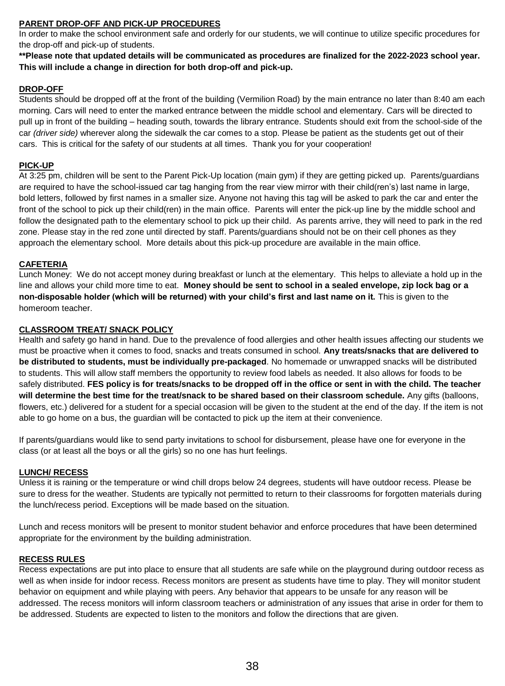#### <span id="page-37-0"></span>**PARENT DROP-OFF AND PICK-UP PROCEDURES**

In order to make the school environment safe and orderly for our students, we will continue to utilize specific procedures for the drop-off and pick-up of students.

**\*\*Please note that updated details will be communicated as procedures are finalized for the 2022-2023 school year. This will include a change in direction for both drop-off and pick-up.**

#### <span id="page-37-1"></span>**DROP-OFF**

Students should be dropped off at the front of the building (Vermilion Road) by the main entrance no later than 8:40 am each morning. Cars will need to enter the marked entrance between the middle school and elementary. Cars will be directed to pull up in front of the building – heading south, towards the library entrance. Students should exit from the school-side of the car *(driver side)* wherever along the sidewalk the car comes to a stop. Please be patient as the students get out of their cars. This is critical for the safety of our students at all times. Thank you for your cooperation!

#### <span id="page-37-2"></span>**PICK-UP**

At 3:25 pm, children will be sent to the Parent Pick-Up location (main gym) if they are getting picked up. Parents/guardians are required to have the school-issued car tag hanging from the rear view mirror with their child(ren's) last name in large, bold letters, followed by first names in a smaller size. Anyone not having this tag will be asked to park the car and enter the front of the school to pick up their child(ren) in the main office. Parents will enter the pick-up line by the middle school and follow the designated path to the elementary school to pick up their child. As parents arrive, they will need to park in the red zone. Please stay in the red zone until directed by staff. Parents/guardians should not be on their cell phones as they approach the elementary school. More details about this pick-up procedure are available in the main office.

#### <span id="page-37-3"></span>**CAFETERIA**

Lunch Money: We do not accept money during breakfast or lunch at the elementary. This helps to alleviate a hold up in the line and allows your child more time to eat. **Money should be sent to school in a sealed envelope, zip lock bag or a non-disposable holder (which will be returned) with your child's first and last name on it.** This is given to the homeroom teacher.

#### <span id="page-37-4"></span>**CLASSROOM TREAT/ SNACK POLICY**

Health and safety go hand in hand. Due to the prevalence of food allergies and other health issues affecting our students we must be proactive when it comes to food, snacks and treats consumed in school. **Any treats/snacks that are delivered to be distributed to students, must be individually pre-packaged**. No homemade or unwrapped snacks will be distributed to students. This will allow staff members the opportunity to review food labels as needed. It also allows for foods to be safely distributed. **FES policy is for treats/snacks to be dropped off in the office or sent in with the child. The teacher will determine the best time for the treat/snack to be shared based on their classroom schedule.** Any gifts (balloons, flowers, etc.) delivered for a student for a special occasion will be given to the student at the end of the day. If the item is not able to go home on a bus, the guardian will be contacted to pick up the item at their convenience.

If parents/guardians would like to send party invitations to school for disbursement, please have one for everyone in the class (or at least all the boys or all the girls) so no one has hurt feelings.

#### <span id="page-37-5"></span>**LUNCH/ RECESS**

Unless it is raining or the temperature or wind chill drops below 24 degrees, students will have outdoor recess. Please be sure to dress for the weather. Students are typically not permitted to return to their classrooms for forgotten materials during the lunch/recess period. Exceptions will be made based on the situation.

Lunch and recess monitors will be present to monitor student behavior and enforce procedures that have been determined appropriate for the environment by the building administration.

#### <span id="page-37-6"></span>**RECESS RULES**

Recess expectations are put into place to ensure that all students are safe while on the playground during outdoor recess as well as when inside for indoor recess. Recess monitors are present as students have time to play. They will monitor student behavior on equipment and while playing with peers. Any behavior that appears to be unsafe for any reason will be addressed. The recess monitors will inform classroom teachers or administration of any issues that arise in order for them to be addressed. Students are expected to listen to the monitors and follow the directions that are given.